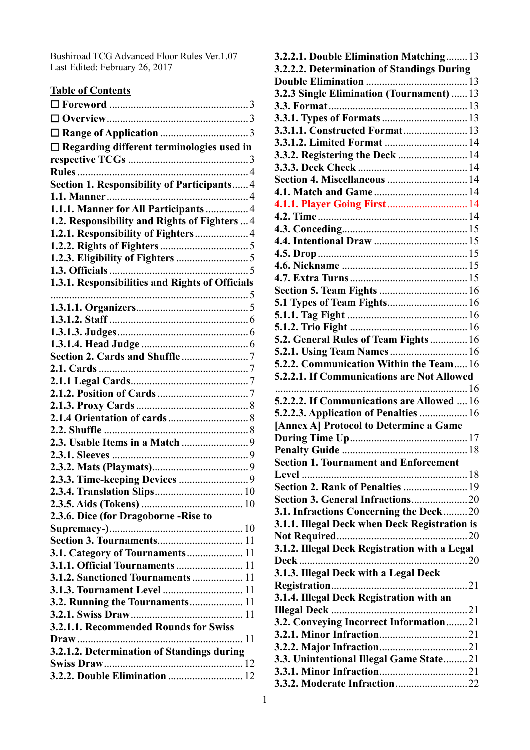Bushiroad TCG Advanced Floor Rules Ver.1.07 Last Edited: February 26, 2017

| <b>Table of Contents</b>                           |  |
|----------------------------------------------------|--|
|                                                    |  |
|                                                    |  |
|                                                    |  |
| $\Box$ Regarding different terminologies used in   |  |
|                                                    |  |
|                                                    |  |
| <b>Section 1. Responsibility of Participants 4</b> |  |
|                                                    |  |
| 1.1.1. Manner for All Participants 4               |  |
| 1.2. Responsibility and Rights of Fighters  4      |  |
| 1.2.1. Responsibility of Fighters 4                |  |
|                                                    |  |
|                                                    |  |
| 1.3.1. Responsibilities and Rights of Officials    |  |
|                                                    |  |
|                                                    |  |
|                                                    |  |
|                                                    |  |
|                                                    |  |
|                                                    |  |
|                                                    |  |
|                                                    |  |
|                                                    |  |
|                                                    |  |
|                                                    |  |
|                                                    |  |
|                                                    |  |
|                                                    |  |
|                                                    |  |
|                                                    |  |
|                                                    |  |
| 2.3.6. Dice (for Dragoborne - Rise to              |  |
|                                                    |  |
|                                                    |  |
| 3.1. Category of Tournaments 11                    |  |
| <b>3.1.1. Official Tournaments  11</b>             |  |
| 3.1.2. Sanctioned Tournaments  11                  |  |
| 3.1.3. Tournament Level  11                        |  |
| 3.2. Running the Tournaments 11                    |  |
|                                                    |  |
| 3.2.1.1. Recommended Rounds for Swiss              |  |
|                                                    |  |
| 3.2.1.2. Determination of Standings during         |  |
| <b>3.2.2. Double Elimination  12</b>               |  |
|                                                    |  |

| 3.2.2.1. Double Elimination Matching 13                                         |
|---------------------------------------------------------------------------------|
| 3.2.2.2. Determination of Standings During                                      |
|                                                                                 |
| 3.2.3 Single Elimination (Tournament)  13                                       |
|                                                                                 |
|                                                                                 |
| <b>3.3.1.1. Constructed Format 13</b>                                           |
| 3.3.1.2. Limited Format  14                                                     |
| 3.3.2. Registering the Deck  14                                                 |
|                                                                                 |
| <b>Section 4. Miscellaneous  14</b>                                             |
|                                                                                 |
| 4.1.1. Player Going First 14                                                    |
|                                                                                 |
|                                                                                 |
|                                                                                 |
|                                                                                 |
|                                                                                 |
|                                                                                 |
|                                                                                 |
| <b>5.1 Types of Team Fights 16</b>                                              |
|                                                                                 |
|                                                                                 |
| 5.2. General Rules of Team Fights  16                                           |
| 5.2.1. Using Team Names 16                                                      |
| 5.2.2. Communication Within the Team 16                                         |
|                                                                                 |
| 5.2.2.1. If Communications are Not Allowed                                      |
|                                                                                 |
|                                                                                 |
| 5.2.2.2. If Communications are Allowed  16                                      |
| 5.2.2.3. Application of Penalties  16<br>[Annex A] Protocol to Determine a Game |
|                                                                                 |
|                                                                                 |
| <b>Section 1. Tournament and Enforcement</b>                                    |
|                                                                                 |
|                                                                                 |
|                                                                                 |
| 3.1. Infractions Concerning the Deck20                                          |
| 3.1.1. Illegal Deck when Deck Registration is                                   |
|                                                                                 |
| 3.1.2. Illegal Deck Registration with a Legal                                   |
|                                                                                 |
| 3.1.3. Illegal Deck with a Legal Deck                                           |
|                                                                                 |
| 3.1.4. Illegal Deck Registration with an                                        |
|                                                                                 |
| 3.2. Conveying Incorrect Information21                                          |
|                                                                                 |
|                                                                                 |
| 3.3. Unintentional Illegal Game State21                                         |
|                                                                                 |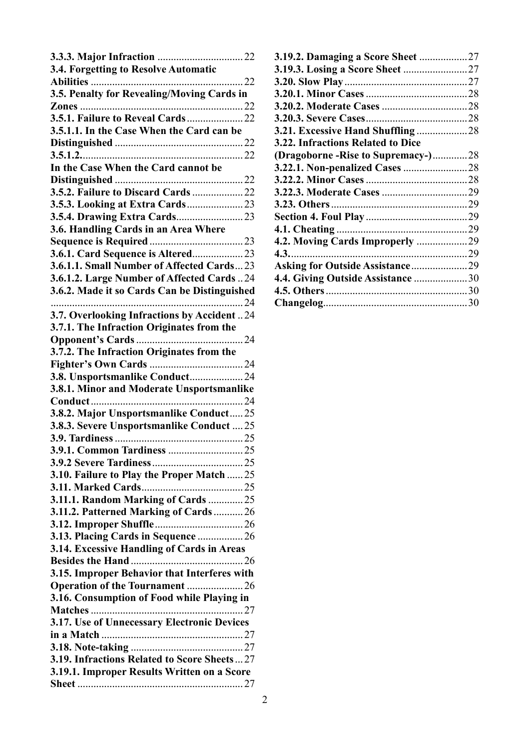| 3.4. Forgetting to Resolve Automatic         |  |
|----------------------------------------------|--|
|                                              |  |
| 3.5. Penalty for Revealing/Moving Cards in   |  |
|                                              |  |
|                                              |  |
| 3.5.1.1. In the Case When the Card can be    |  |
|                                              |  |
|                                              |  |
| In the Case When the Card cannot be          |  |
|                                              |  |
|                                              |  |
| 3.5.2. Failure to Discard Cards  22          |  |
|                                              |  |
|                                              |  |
| 3.6. Handling Cards in an Area Where         |  |
|                                              |  |
| 3.6.1. Card Sequence is Altered 23           |  |
| 3.6.1.1. Small Number of Affected Cards23    |  |
| 3.6.1.2. Large Number of Affected Cards 24   |  |
| 3.6.2. Made it so Cards Can be Distinguished |  |
|                                              |  |
|                                              |  |
| 3.7. Overlooking Infractions by Accident24   |  |
| 3.7.1. The Infraction Originates from the    |  |
|                                              |  |
| 3.7.2. The Infraction Originates from the    |  |
|                                              |  |
| 3.8. Unsportsmanlike Conduct 24              |  |
| 3.8.1. Minor and Moderate Unsportsmanlike    |  |
|                                              |  |
| 3.8.2. Major Unsportsmanlike Conduct 25      |  |
| 3.8.3. Severe Unsportsmanlike Conduct  25    |  |
|                                              |  |
|                                              |  |
|                                              |  |
| 3.10. Failure to Play the Proper Match  25   |  |
|                                              |  |
|                                              |  |
| 3.11.1. Random Marking of Cards  25          |  |
| 3.11.2. Patterned Marking of Cards  26       |  |
|                                              |  |
| 3.13. Placing Cards in Sequence  26          |  |
| 3.14. Excessive Handling of Cards in Areas   |  |
|                                              |  |
| 3.15. Improper Behavior that Interferes with |  |
| Operation of the Tournament 26               |  |
| 3.16. Consumption of Food while Playing in   |  |
|                                              |  |
| 3.17. Use of Unnecessary Electronic Devices  |  |
|                                              |  |
|                                              |  |
| 3.19. Infractions Related to Score Sheets27  |  |
| 3.19.1. Improper Results Written on a Score  |  |
|                                              |  |
|                                              |  |

| <b>3.19.2. Damaging a Score Sheet 27</b> |  |
|------------------------------------------|--|
|                                          |  |
|                                          |  |
|                                          |  |
|                                          |  |
|                                          |  |
|                                          |  |
| 3.22. Infractions Related to Dice        |  |
| (Dragoborne - Rise to Supremacy - )28    |  |
|                                          |  |
|                                          |  |
|                                          |  |
|                                          |  |
|                                          |  |
|                                          |  |
| 4.2. Moving Cards Improperly 29          |  |
|                                          |  |
| Asking for Outside Assistance29          |  |
| 4.4. Giving Outside Assistance 30        |  |
|                                          |  |
|                                          |  |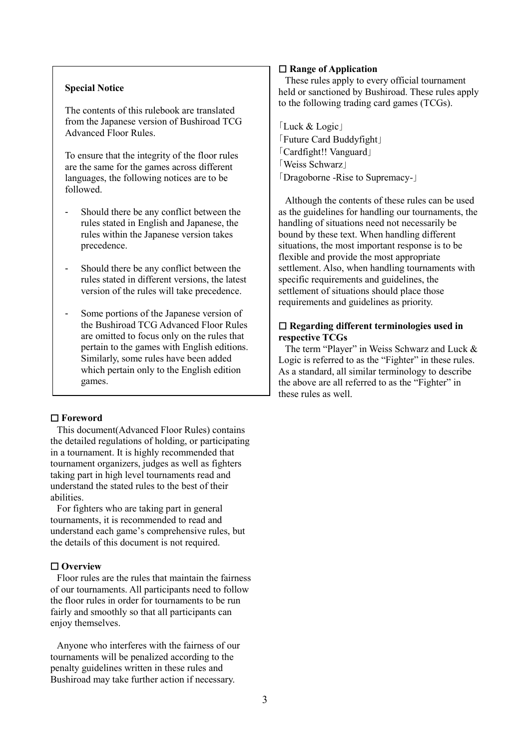# **Special Notice**

The contents of this rulebook are translated from the Japanese version of Bushiroad TCG Advanced Floor Rules.

To ensure that the integrity of the floor rules are the same for the games across different languages, the following notices are to be followed.

- Should there be any conflict between the rules stated in English and Japanese, the rules within the Japanese version takes precedence.
- Should there be any conflict between the rules stated in different versions, the latest version of the rules will take precedence.
- Some portions of the Japanese version of the Bushiroad TCG Advanced Floor Rules are omitted to focus only on the rules that pertain to the games with English editions. Similarly, some rules have been added which pertain only to the English edition games.

### <span id="page-2-0"></span>☐ **Foreword**

This document(Advanced Floor Rules) contains the detailed regulations of holding, or participating in a tournament. It is highly recommended that tournament organizers, judges as well as fighters taking part in high level tournaments read and understand the stated rules to the best of their abilities.

For fighters who are taking part in general tournaments, it is recommended to read and understand each game's comprehensive rules, but the details of this document is not required.

## <span id="page-2-1"></span>☐ **Overview**

Floor rules are the rules that maintain the fairness of our tournaments. All participants need to follow the floor rules in order for tournaments to be run fairly and smoothly so that all participants can enjoy themselves.

Anyone who interferes with the fairness of our tournaments will be penalized according to the penalty guidelines written in these rules and Bushiroad may take further action if necessary.

## <span id="page-2-2"></span>☐ **Range of Application**

These rules apply to every official tournament held or sanctioned by Bushiroad. These rules apply to the following trading card games (TCGs).

「Luck & Logic」 「Future Card Buddyfight」 「Cardfight!! Vanguard」 「Weiss Schwarz」 「Dragoborne -Rise to Supremacy-」

Although the contents of these rules can be used as the guidelines for handling our tournaments, the handling of situations need not necessarily be bound by these text. When handling different situations, the most important response is to be flexible and provide the most appropriate settlement. Also, when handling tournaments with specific requirements and guidelines, the settlement of situations should place those requirements and guidelines as priority.

# <span id="page-2-3"></span>☐ **Regarding different terminologies used in respective TCGs**

The term "Player" in Weiss Schwarz and Luck & Logic is referred to as the "Fighter" in these rules. As a standard, all similar terminology to describe the above are all referred to as the "Fighter" in these rules as well.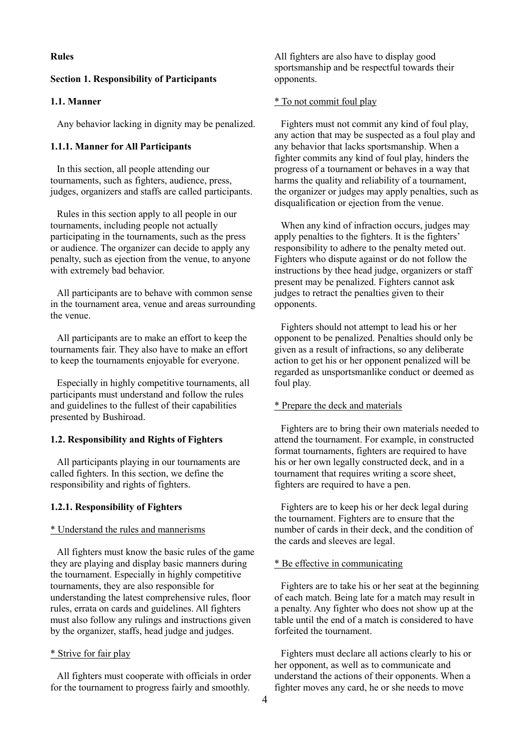# <span id="page-3-0"></span>**Rules**

#### <span id="page-3-1"></span>**Section 1. Responsibility of Participants**

### <span id="page-3-2"></span>**1.1. Manner**

Any behavior lacking in dignity may be penalized.

### <span id="page-3-3"></span>**1.1.1. Manner for All Participants**

In this section, all people attending our tournaments, such as fighters, audience, press, judges, organizers and staffs are called participants.

Rules in this section apply to all people in our tournaments, including people not actually participating in the tournaments, such as the press or audience. The organizer can decide to apply any penalty, such as ejection from the venue, to anyone with extremely bad behavior.

All participants are to behave with common sense in the tournament area, venue and areas surrounding the venue.

All participants are to make an effort to keep the tournaments fair. They also have to make an effort to keep the tournaments enjoyable for everyone.

Especially in highly competitive tournaments, all participants must understand and follow the rules and guidelines to the fullest of their capabilities presented by Bushiroad.

#### <span id="page-3-4"></span>**1.2. Responsibility and Rights of Fighters**

All participants playing in our tournaments are called fighters. In this section, we define the responsibility and rights of fighters.

### <span id="page-3-5"></span>**1.2.1. Responsibility of Fighters**

### \* Understand the rules and mannerisms

All fighters must know the basic rules of the game they are playing and display basic manners during the tournament. Especially in highly competitive tournaments, they are also responsible for understanding the latest comprehensive rules, floor rules, errata on cards and guidelines. All fighters must also follow any rulings and instructions given by the organizer, staffs, head judge and judges.

#### \* Strive for fair play

All fighters must cooperate with officials in order for the tournament to progress fairly and smoothly.

All fighters are also have to display good sportsmanship and be respectful towards their opponents.

#### \* To not commit foul play

Fighters must not commit any kind of foul play, any action that may be suspected as a foul play and any behavior that lacks sportsmanship. When a fighter commits any kind of foul play, hinders the progress of a tournament or behaves in a way that harms the quality and reliability of a tournament, the organizer or judges may apply penalties, such as disqualification or ejection from the venue.

When any kind of infraction occurs, judges may apply penalties to the fighters. It is the fighters' responsibility to adhere to the penalty meted out. Fighters who dispute against or do not follow the instructions by thee head judge, organizers or staff present may be penalized. Fighters cannot ask judges to retract the penalties given to their opponents.

Fighters should not attempt to lead his or her opponent to be penalized. Penalties should only be given as a result of infractions, so any deliberate action to get his or her opponent penalized will be regarded as unsportsmanlike conduct or deemed as foul play.

# \* Prepare the deck and materials

Fighters are to bring their own materials needed to attend the tournament. For example, in constructed format tournaments, fighters are required to have his or her own legally constructed deck, and in a tournament that requires writing a score sheet, fighters are required to have a pen.

Fighters are to keep his or her deck legal during the tournament. Fighters are to ensure that the number of cards in their deck, and the condition of the cards and sleeves are legal.

#### \* Be effective in communicating

Fighters are to take his or her seat at the beginning of each match. Being late for a match may result in a penalty. Any fighter who does not show up at the table until the end of a match is considered to have forfeited the tournament.

Fighters must declare all actions clearly to his or her opponent, as well as to communicate and understand the actions of their opponents. When a fighter moves any card, he or she needs to move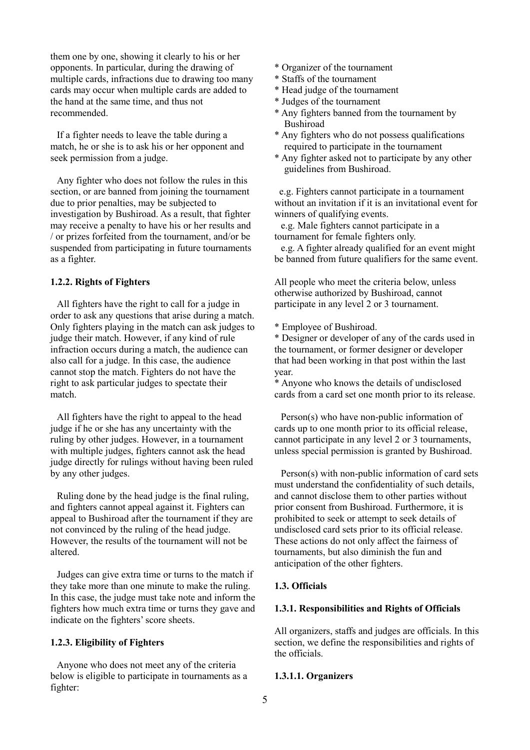them one by one, showing it clearly to his or her opponents. In particular, during the drawing of multiple cards, infractions due to drawing too many cards may occur when multiple cards are added to the hand at the same time, and thus not recommended.

If a fighter needs to leave the table during a match, he or she is to ask his or her opponent and seek permission from a judge.

Any fighter who does not follow the rules in this section, or are banned from joining the tournament due to prior penalties, may be subjected to investigation by Bushiroad. As a result, that fighter may receive a penalty to have his or her results and / or prizes forfeited from the tournament, and/or be suspended from participating in future tournaments as a fighter.

### <span id="page-4-0"></span>**1.2.2. Rights of Fighters**

All fighters have the right to call for a judge in order to ask any questions that arise during a match. Only fighters playing in the match can ask judges to judge their match. However, if any kind of rule infraction occurs during a match, the audience can also call for a judge. In this case, the audience cannot stop the match. Fighters do not have the right to ask particular judges to spectate their match.

All fighters have the right to appeal to the head judge if he or she has any uncertainty with the ruling by other judges. However, in a tournament with multiple judges, fighters cannot ask the head judge directly for rulings without having been ruled by any other judges.

Ruling done by the head judge is the final ruling, and fighters cannot appeal against it. Fighters can appeal to Bushiroad after the tournament if they are not convinced by the ruling of the head judge. However, the results of the tournament will not be altered.

Judges can give extra time or turns to the match if they take more than one minute to make the ruling. In this case, the judge must take note and inform the fighters how much extra time or turns they gave and indicate on the fighters' score sheets.

#### <span id="page-4-1"></span>**1.2.3. Eligibility of Fighters**

Anyone who does not meet any of the criteria below is eligible to participate in tournaments as a fighter:

- \* Organizer of the tournament
- \* Staffs of the tournament
- \* Head judge of the tournament
- \* Judges of the tournament
- \* Any fighters banned from the tournament by Bushiroad
- \* Any fighters who do not possess qualifications required to participate in the tournament
- \* Any fighter asked not to participate by any other guidelines from Bushiroad.

e.g. Fighters cannot participate in a tournament without an invitation if it is an invitational event for winners of qualifying events.

e.g. Male fighters cannot participate in a tournament for female fighters only.

e.g. A fighter already qualified for an event might be banned from future qualifiers for the same event.

All people who meet the criteria below, unless otherwise authorized by Bushiroad, cannot participate in any level 2 or 3 tournament.

\* Employee of Bushiroad.

\* Designer or developer of any of the cards used in the tournament, or former designer or developer that had been working in that post within the last year.

\* Anyone who knows the details of undisclosed cards from a card set one month prior to its release.

Person(s) who have non-public information of cards up to one month prior to its official release, cannot participate in any level 2 or 3 tournaments, unless special permission is granted by Bushiroad.

Person(s) with non-public information of card sets must understand the confidentiality of such details, and cannot disclose them to other parties without prior consent from Bushiroad. Furthermore, it is prohibited to seek or attempt to seek details of undisclosed card sets prior to its official release. These actions do not only affect the fairness of tournaments, but also diminish the fun and anticipation of the other fighters.

### <span id="page-4-2"></span>**1.3. Officials**

# <span id="page-4-3"></span>**1.3.1. Responsibilities and Rights of Officials**

All organizers, staffs and judges are officials. In this section, we define the responsibilities and rights of the officials.

### <span id="page-4-4"></span>**1.3.1.1. Organizers**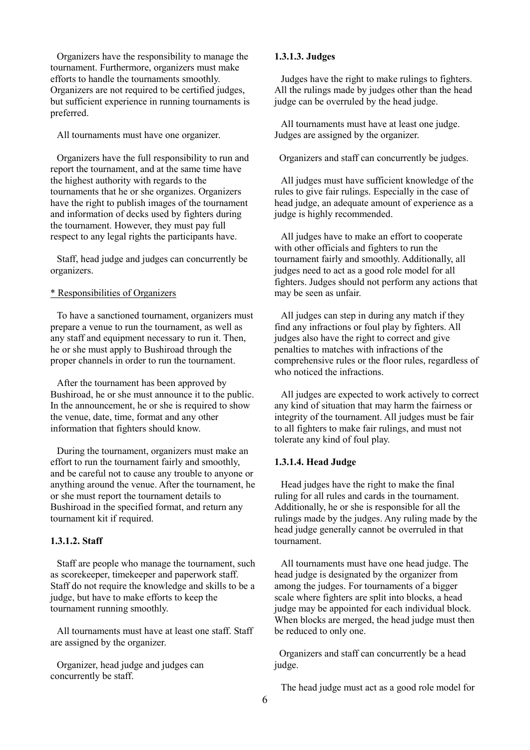Organizers have the responsibility to manage the tournament. Furthermore, organizers must make efforts to handle the tournaments smoothly. Organizers are not required to be certified judges, but sufficient experience in running tournaments is preferred.

All tournaments must have one organizer.

Organizers have the full responsibility to run and report the tournament, and at the same time have the highest authority with regards to the tournaments that he or she organizes. Organizers have the right to publish images of the tournament and information of decks used by fighters during the tournament. However, they must pay full respect to any legal rights the participants have.

Staff, head judge and judges can concurrently be organizers.

# \* Responsibilities of Organizers

To have a sanctioned tournament, organizers must prepare a venue to run the tournament, as well as any staff and equipment necessary to run it. Then, he or she must apply to Bushiroad through the proper channels in order to run the tournament.

After the tournament has been approved by Bushiroad, he or she must announce it to the public. In the announcement, he or she is required to show the venue, date, time, format and any other information that fighters should know.

During the tournament, organizers must make an effort to run the tournament fairly and smoothly, and be careful not to cause any trouble to anyone or anything around the venue. After the tournament, he or she must report the tournament details to Bushiroad in the specified format, and return any tournament kit if required.

### <span id="page-5-0"></span>**1.3.1.2. Staff**

Staff are people who manage the tournament, such as scorekeeper, timekeeper and paperwork staff. Staff do not require the knowledge and skills to be a judge, but have to make efforts to keep the tournament running smoothly.

All tournaments must have at least one staff. Staff are assigned by the organizer.

Organizer, head judge and judges can concurrently be staff.

### <span id="page-5-1"></span>**1.3.1.3. Judges**

Judges have the right to make rulings to fighters. All the rulings made by judges other than the head judge can be overruled by the head judge.

All tournaments must have at least one judge. Judges are assigned by the organizer.

Organizers and staff can concurrently be judges.

All judges must have sufficient knowledge of the rules to give fair rulings. Especially in the case of head judge, an adequate amount of experience as a judge is highly recommended.

All judges have to make an effort to cooperate with other officials and fighters to run the tournament fairly and smoothly. Additionally, all judges need to act as a good role model for all fighters. Judges should not perform any actions that may be seen as unfair.

All judges can step in during any match if they find any infractions or foul play by fighters. All judges also have the right to correct and give penalties to matches with infractions of the comprehensive rules or the floor rules, regardless of who noticed the infractions.

All judges are expected to work actively to correct any kind of situation that may harm the fairness or integrity of the tournament. All judges must be fair to all fighters to make fair rulings, and must not tolerate any kind of foul play.

### <span id="page-5-2"></span>**1.3.1.4. Head Judge**

Head judges have the right to make the final ruling for all rules and cards in the tournament. Additionally, he or she is responsible for all the rulings made by the judges. Any ruling made by the head judge generally cannot be overruled in that tournament.

All tournaments must have one head judge. The head judge is designated by the organizer from among the judges. For tournaments of a bigger scale where fighters are split into blocks, a head judge may be appointed for each individual block. When blocks are merged, the head judge must then be reduced to only one.

Organizers and staff can concurrently be a head judge.

The head judge must act as a good role model for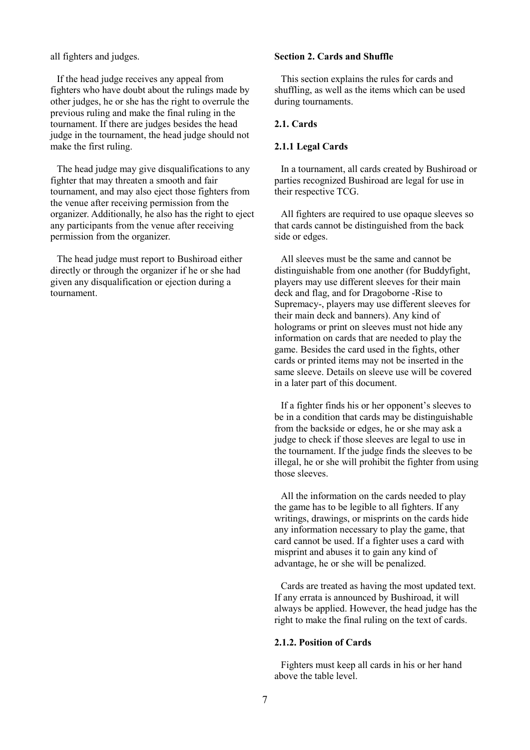all fighters and judges.

If the head judge receives any appeal from fighters who have doubt about the rulings made by other judges, he or she has the right to overrule the previous ruling and make the final ruling in the tournament. If there are judges besides the head judge in the tournament, the head judge should not make the first ruling.

The head judge may give disqualifications to any fighter that may threaten a smooth and fair tournament, and may also eject those fighters from the venue after receiving permission from the organizer. Additionally, he also has the right to eject any participants from the venue after receiving permission from the organizer.

The head judge must report to Bushiroad either directly or through the organizer if he or she had given any disqualification or ejection during a tournament.

# <span id="page-6-0"></span>**Section 2. Cards and Shuffle**

This section explains the rules for cards and shuffling, as well as the items which can be used during tournaments.

### <span id="page-6-1"></span>**2.1. Cards**

### <span id="page-6-2"></span>**2.1.1 Legal Cards**

In a tournament, all cards created by Bushiroad or parties recognized Bushiroad are legal for use in their respective TCG.

All fighters are required to use opaque sleeves so that cards cannot be distinguished from the back side or edges.

All sleeves must be the same and cannot be distinguishable from one another (for Buddyfight, players may use different sleeves for their main deck and flag, and for Dragoborne -Rise to Supremacy-, players may use different sleeves for their main deck and banners). Any kind of holograms or print on sleeves must not hide any information on cards that are needed to play the game. Besides the card used in the fights, other cards or printed items may not be inserted in the same sleeve. Details on sleeve use will be covered in a later part of this document.

If a fighter finds his or her opponent's sleeves to be in a condition that cards may be distinguishable from the backside or edges, he or she may ask a judge to check if those sleeves are legal to use in the tournament. If the judge finds the sleeves to be illegal, he or she will prohibit the fighter from using those sleeves.

All the information on the cards needed to play the game has to be legible to all fighters. If any writings, drawings, or misprints on the cards hide any information necessary to play the game, that card cannot be used. If a fighter uses a card with misprint and abuses it to gain any kind of advantage, he or she will be penalized.

Cards are treated as having the most updated text. If any errata is announced by Bushiroad, it will always be applied. However, the head judge has the right to make the final ruling on the text of cards.

### <span id="page-6-3"></span>**2.1.2. Position of Cards**

Fighters must keep all cards in his or her hand above the table level.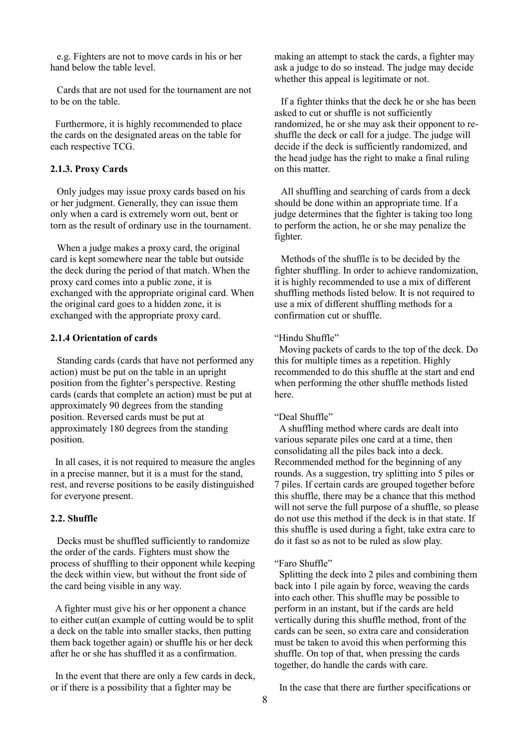e.g. Fighters are not to move cards in his or her hand below the table level.

Cards that are not used for the tournament are not to be on the table.

Furthermore, it is highly recommended to place the cards on the designated areas on the table for each respective TCG.

### <span id="page-7-0"></span>**2.1.3. Proxy Cards**

Only judges may issue proxy cards based on his or her judgment. Generally, they can issue them only when a card is extremely worn out, bent or torn as the result of ordinary use in the tournament.

When a judge makes a proxy card, the original card is kept somewhere near the table but outside the deck during the period of that match. When the proxy card comes into a public zone, it is exchanged with the appropriate original card. When the original card goes to a hidden zone, it is exchanged with the appropriate proxy card.

# <span id="page-7-1"></span>**2.1.4 Orientation of cards**

Standing cards (cards that have not performed any action) must be put on the table in an upright position from the fighter's perspective. Resting cards (cards that complete an action) must be put at approximately 90 degrees from the standing position. Reversed cards must be put at approximately 180 degrees from the standing position.

In all cases, it is not required to measure the angles in a precise manner, but it is a must for the stand, rest, and reverse positions to be easily distinguished for everyone present.

#### <span id="page-7-2"></span>**2.2. Shuffle**

Decks must be shuffled sufficiently to randomize the order of the cards. Fighters must show the process of shuffling to their opponent while keeping the deck within view, but without the front side of the card being visible in any way.

A fighter must give his or her opponent a chance to either cut(an example of cutting would be to split a deck on the table into smaller stacks, then putting them back together again) or shuffle his or her deck after he or she has shuffled it as a confirmation.

In the event that there are only a few cards in deck, or if there is a possibility that a fighter may be

making an attempt to stack the cards, a fighter may ask a judge to do so instead. The judge may decide whether this appeal is legitimate or not.

If a fighter thinks that the deck he or she has been asked to cut or shuffle is not sufficiently randomized, he or she may ask their opponent to reshuffle the deck or call for a judge. The judge will decide if the deck is sufficiently randomized, and the head judge has the right to make a final ruling on this matter.

All shuffling and searching of cards from a deck should be done within an appropriate time. If a judge determines that the fighter is taking too long to perform the action, he or she may penalize the fighter.

Methods of the shuffle is to be decided by the fighter shuffling. In order to achieve randomization, it is highly recommended to use a mix of different shuffling methods listed below. It is not required to use a mix of different shuffling methods for a confirmation cut or shuffle.

### "Hindu Shuffle"

Moving packets of cards to the top of the deck. Do this for multiple times as a repetition. Highly recommended to do this shuffle at the start and end when performing the other shuffle methods listed here.

### "Deal Shuffle"

A shuffling method where cards are dealt into various separate piles one card at a time, then consolidating all the piles back into a deck. Recommended method for the beginning of any rounds. As a suggestion, try splitting into 5 piles or 7 piles. If certain cards are grouped together before this shuffle, there may be a chance that this method will not serve the full purpose of a shuffle, so please do not use this method if the deck is in that state. If this shuffle is used during a fight, take extra care to do it fast so as not to be ruled as slow play.

#### "Faro Shuffle"

Splitting the deck into 2 piles and combining them back into 1 pile again by force, weaving the cards into each other. This shuffle may be possible to perform in an instant, but if the cards are held vertically during this shuffle method, front of the cards can be seen, so extra care and consideration must be taken to avoid this when performing this shuffle. On top of that, when pressing the cards together, do handle the cards with care.

In the case that there are further specifications or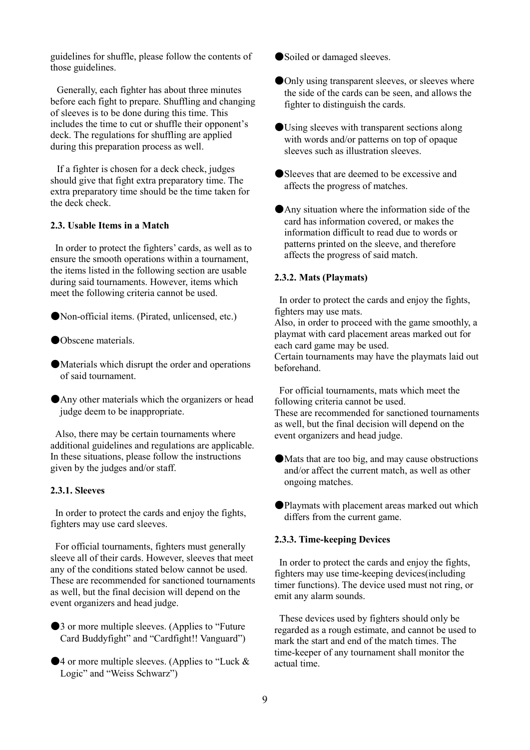guidelines for shuffle, please follow the contents of those guidelines.

Generally, each fighter has about three minutes before each fight to prepare. Shuffling and changing of sleeves is to be done during this time. This includes the time to cut or shuffle their opponent's deck. The regulations for shuffling are applied during this preparation process as well.

If a fighter is chosen for a deck check, judges should give that fight extra preparatory time. The extra preparatory time should be the time taken for the deck check.

### <span id="page-8-0"></span>**2.3. Usable Items in a Match**

In order to protect the fighters' cards, as well as to ensure the smooth operations within a tournament, the items listed in the following section are usable during said tournaments. However, items which meet the following criteria cannot be used.

●Non-official items. (Pirated, unlicensed, etc.)

- ●Obscene materials.
- ●Materials which disrupt the order and operations of said tournament.
- ●Any other materials which the organizers or head judge deem to be inappropriate.

Also, there may be certain tournaments where additional guidelines and regulations are applicable. In these situations, please follow the instructions given by the judges and/or staff.

### <span id="page-8-1"></span>**2.3.1. Sleeves**

In order to protect the cards and enjoy the fights, fighters may use card sleeves.

For official tournaments, fighters must generally sleeve all of their cards. However, sleeves that meet any of the conditions stated below cannot be used. These are recommended for sanctioned tournaments as well, but the final decision will depend on the event organizers and head judge.

- ●3 or more multiple sleeves. (Applies to "Future Card Buddyfight" and "Cardfight!! Vanguard")
- $\blacktriangleright$  4 or more multiple sleeves. (Applies to "Luck & Logic" and "Weiss Schwarz")
- ●Soiled or damaged sleeves.
- **Only using transparent sleeves, or sleeves where**  the side of the cards can be seen, and allows the fighter to distinguish the cards.
- ●Using sleeves with transparent sections along with words and/or patterns on top of opaque sleeves such as illustration sleeves.
- ●Sleeves that are deemed to be excessive and affects the progress of matches.
- ●Any situation where the information side of the card has information covered, or makes the information difficult to read due to words or patterns printed on the sleeve, and therefore affects the progress of said match.

# <span id="page-8-2"></span>**2.3.2. Mats (Playmats)**

In order to protect the cards and enjoy the fights, fighters may use mats.

Also, in order to proceed with the game smoothly, a playmat with card placement areas marked out for each card game may be used.

Certain tournaments may have the playmats laid out beforehand.

For official tournaments, mats which meet the following criteria cannot be used.

These are recommended for sanctioned tournaments as well, but the final decision will depend on the event organizers and head judge.

- ●Mats that are too big, and may cause obstructions and/or affect the current match, as well as other ongoing matches.
- ●Playmats with placement areas marked out which differs from the current game.

### <span id="page-8-3"></span>**2.3.3. Time-keeping Devices**

In order to protect the cards and enjoy the fights, fighters may use time-keeping devices(including timer functions). The device used must not ring, or emit any alarm sounds.

These devices used by fighters should only be regarded as a rough estimate, and cannot be used to mark the start and end of the match times. The time-keeper of any tournament shall monitor the actual time.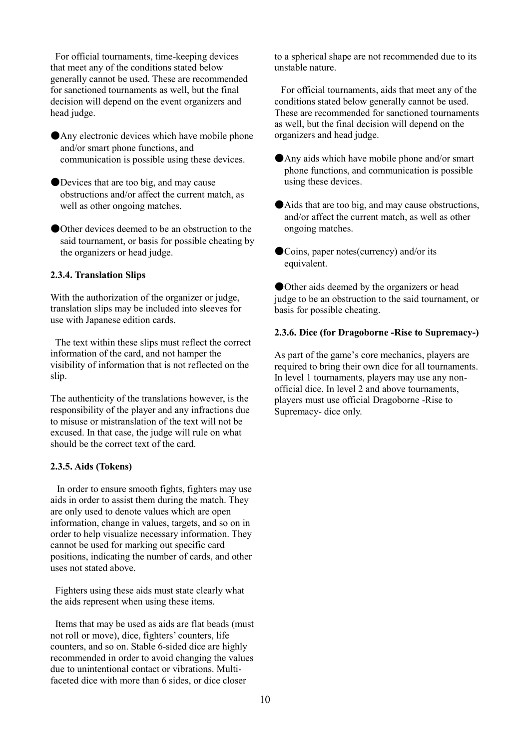For official tournaments, time-keeping devices that meet any of the conditions stated below generally cannot be used. These are recommended for sanctioned tournaments as well, but the final decision will depend on the event organizers and head judge.

●Any electronic devices which have mobile phone and/or smart phone functions, and communication is possible using these devices.

●Devices that are too big, and may cause obstructions and/or affect the current match, as well as other ongoing matches.

●Other devices deemed to be an obstruction to the said tournament, or basis for possible cheating by the organizers or head judge.

### <span id="page-9-0"></span>**2.3.4. Translation Slips**

With the authorization of the organizer or judge, translation slips may be included into sleeves for use with Japanese edition cards.

The text within these slips must reflect the correct information of the card, and not hamper the visibility of information that is not reflected on the slip.

The authenticity of the translations however, is the responsibility of the player and any infractions due to misuse or mistranslation of the text will not be excused. In that case, the judge will rule on what should be the correct text of the card.

## <span id="page-9-1"></span>**2.3.5. Aids (Tokens)**

In order to ensure smooth fights, fighters may use aids in order to assist them during the match. They are only used to denote values which are open information, change in values, targets, and so on in order to help visualize necessary information. They cannot be used for marking out specific card positions, indicating the number of cards, and other uses not stated above.

Fighters using these aids must state clearly what the aids represent when using these items.

Items that may be used as aids are flat beads (must not roll or move), dice, fighters' counters, life counters, and so on. Stable 6-sided dice are highly recommended in order to avoid changing the values due to unintentional contact or vibrations. Multifaceted dice with more than 6 sides, or dice closer

to a spherical shape are not recommended due to its unstable nature.

For official tournaments, aids that meet any of the conditions stated below generally cannot be used. These are recommended for sanctioned tournaments as well, but the final decision will depend on the organizers and head judge.

- ●Any aids which have mobile phone and/or smart phone functions, and communication is possible using these devices.
- ●Aids that are too big, and may cause obstructions, and/or affect the current match, as well as other ongoing matches.
- ●Coins, paper notes(currency) and/or its equivalent.

●Other aids deemed by the organizers or head judge to be an obstruction to the said tournament, or basis for possible cheating.

### <span id="page-9-2"></span>**2.3.6. Dice (for Dragoborne -Rise to Supremacy-)**

As part of the game's core mechanics, players are required to bring their own dice for all tournaments. In level 1 tournaments, players may use any nonofficial dice. In level 2 and above tournaments, players must use official Dragoborne -Rise to Supremacy- dice only.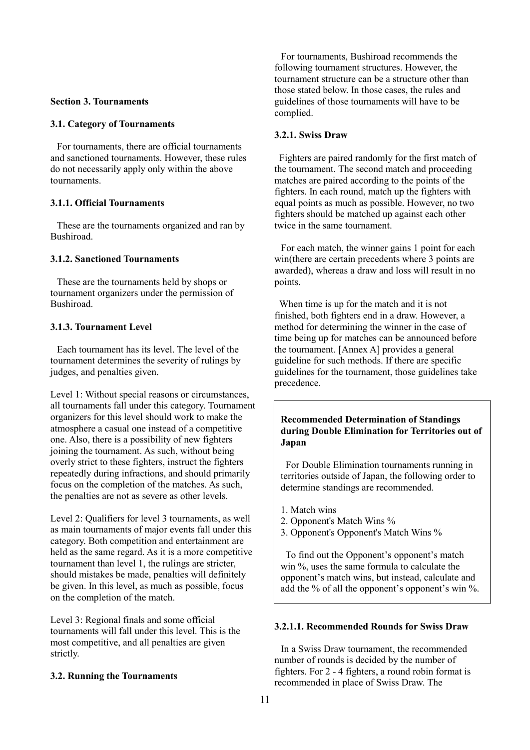# <span id="page-10-0"></span>**Section 3. Tournaments**

## <span id="page-10-1"></span>**3.1. Category of Tournaments**

For tournaments, there are official tournaments and sanctioned tournaments. However, these rules do not necessarily apply only within the above tournaments.

# <span id="page-10-2"></span>**3.1.1. Official Tournaments**

These are the tournaments organized and ran by Bushiroad.

# <span id="page-10-3"></span>**3.1.2. Sanctioned Tournaments**

These are the tournaments held by shops or tournament organizers under the permission of Bushiroad.

# <span id="page-10-4"></span>**3.1.3. Tournament Level**

Each tournament has its level. The level of the tournament determines the severity of rulings by judges, and penalties given.

Level 1: Without special reasons or circumstances, all tournaments fall under this category. Tournament organizers for this level should work to make the atmosphere a casual one instead of a competitive one. Also, there is a possibility of new fighters joining the tournament. As such, without being overly strict to these fighters, instruct the fighters repeatedly during infractions, and should primarily focus on the completion of the matches. As such, the penalties are not as severe as other levels.

Level 2: Qualifiers for level 3 tournaments, as well as main tournaments of major events fall under this category. Both competition and entertainment are held as the same regard. As it is a more competitive tournament than level 1, the rulings are stricter, should mistakes be made, penalties will definitely be given. In this level, as much as possible, focus on the completion of the match.

Level 3: Regional finals and some official tournaments will fall under this level. This is the most competitive, and all penalties are given strictly.

# <span id="page-10-5"></span>**3.2. Running the Tournaments**

For tournaments, Bushiroad recommends the following tournament structures. However, the tournament structure can be a structure other than those stated below. In those cases, the rules and guidelines of those tournaments will have to be complied.

# <span id="page-10-6"></span>**3.2.1. Swiss Draw**

Fighters are paired randomly for the first match of the tournament. The second match and proceeding matches are paired according to the points of the fighters. In each round, match up the fighters with equal points as much as possible. However, no two fighters should be matched up against each other twice in the same tournament.

For each match, the winner gains 1 point for each win(there are certain precedents where 3 points are awarded), whereas a draw and loss will result in no points.

When time is up for the match and it is not finished, both fighters end in a draw. However, a method for determining the winner in the case of time being up for matches can be announced before the tournament. [Annex A] provides a general guideline for such methods. If there are specific guidelines for the tournament, those guidelines take precedence.

# **Recommended Determination of Standings during Double Elimination for Territories out of Japan**

For Double Elimination tournaments running in territories outside of Japan, the following order to determine standings are recommended.

- 1. Match wins
- 2. Opponent's Match Wins %
- 3. Opponent's Opponent's Match Wins %

To find out the Opponent's opponent's match win %, uses the same formula to calculate the opponent's match wins, but instead, calculate and add the % of all the opponent's opponent's win %.

# <span id="page-10-7"></span>**3.2.1.1. Recommended Rounds for Swiss Draw**

In a Swiss Draw tournament, the recommended number of rounds is decided by the number of fighters. For 2 - 4 fighters, a round robin format is recommended in place of Swiss Draw. The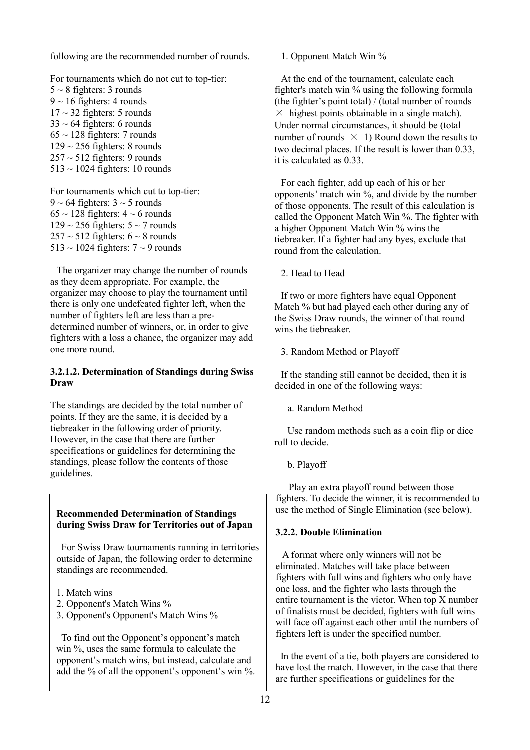following are the recommended number of rounds.

For tournaments which do not cut to top-tier:  $5 \sim 8$  fighters: 3 rounds  $9 \sim 16$  fighters: 4 rounds  $17 \sim 32$  fighters: 5 rounds  $33 \sim 64$  fighters: 6 rounds  $65 \sim 128$  fighters: 7 rounds  $129 \sim 256$  fighters: 8 rounds  $257 \sim 512$  fighters: 9 rounds 513 ~ 1024 fighters: 10 rounds

For tournaments which cut to top-tier:  $9 \sim 64$  fighters:  $3 \sim 5$  rounds  $65 \sim 128$  fighters:  $4 \sim 6$  rounds  $129 \sim 256$  fighters:  $5 \sim 7$  rounds  $257 \sim 512$  fighters:  $6 \sim 8$  rounds  $513 \sim 1024$  fighters:  $7 \sim 9$  rounds

The organizer may change the number of rounds as they deem appropriate. For example, the organizer may choose to play the tournament until there is only one undefeated fighter left, when the number of fighters left are less than a predetermined number of winners, or, in order to give fighters with a loss a chance, the organizer may add one more round.

# <span id="page-11-0"></span>**3.2.1.2. Determination of Standings during Swiss Draw**

The standings are decided by the total number of points. If they are the same, it is decided by a tiebreaker in the following order of priority. However, in the case that there are further specifications or guidelines for determining the standings, please follow the contents of those guidelines.

# **Recommended Determination of Standings during Swiss Draw for Territories out of Japan**

For Swiss Draw tournaments running in territories outside of Japan, the following order to determine standings are recommended.

- 1. Match wins
- 2. Opponent's Match Wins %
- 3. Opponent's Opponent's Match Wins %

To find out the Opponent's opponent's match win %, uses the same formula to calculate the opponent's match wins, but instead, calculate and add the % of all the opponent's opponent's win %. 1. Opponent Match Win %

At the end of the tournament, calculate each fighter's match win % using the following formula (the fighter's point total) / (total number of rounds  $\times$  highest points obtainable in a single match). Under normal circumstances, it should be (total number of rounds  $\times$  1) Round down the results to two decimal places. If the result is lower than 0.33, it is calculated as 0.33.

For each fighter, add up each of his or her opponents' match win %, and divide by the number of those opponents. The result of this calculation is called the Opponent Match Win %. The fighter with a higher Opponent Match Win % wins the tiebreaker. If a fighter had any byes, exclude that round from the calculation.

2. Head to Head

If two or more fighters have equal Opponent Match % but had played each other during any of the Swiss Draw rounds, the winner of that round wins the tiebreaker.

3. Random Method or Playoff

If the standing still cannot be decided, then it is decided in one of the following ways:

a. Random Method

 Use random methods such as a coin flip or dice roll to decide.

b. Playoff

 Play an extra playoff round between those fighters. To decide the winner, it is recommended to use the method of Single Elimination (see below).

# <span id="page-11-1"></span>**3.2.2. Double Elimination**

A format where only winners will not be eliminated. Matches will take place between fighters with full wins and fighters who only have one loss, and the fighter who lasts through the entire tournament is the victor. When top X number of finalists must be decided, fighters with full wins will face off against each other until the numbers of fighters left is under the specified number.

In the event of a tie, both players are considered to have lost the match. However, in the case that there are further specifications or guidelines for the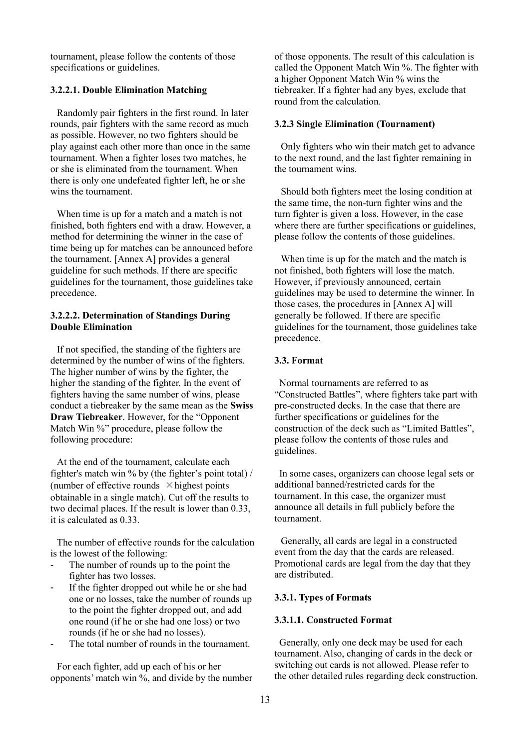tournament, please follow the contents of those specifications or guidelines.

# <span id="page-12-0"></span>**3.2.2.1. Double Elimination Matching**

Randomly pair fighters in the first round. In later rounds, pair fighters with the same record as much as possible. However, no two fighters should be play against each other more than once in the same tournament. When a fighter loses two matches, he or she is eliminated from the tournament. When there is only one undefeated fighter left, he or she wins the tournament.

When time is up for a match and a match is not finished, both fighters end with a draw. However, a method for determining the winner in the case of time being up for matches can be announced before the tournament. [Annex A] provides a general guideline for such methods. If there are specific guidelines for the tournament, those guidelines take precedence.

# <span id="page-12-1"></span>**3.2.2.2. Determination of Standings During Double Elimination**

If not specified, the standing of the fighters are determined by the number of wins of the fighters. The higher number of wins by the fighter, the higher the standing of the fighter. In the event of fighters having the same number of wins, please conduct a tiebreaker by the same mean as the **Swiss Draw Tiebreaker**. However, for the "Opponent Match Win %" procedure, please follow the following procedure:

At the end of the tournament, calculate each fighter's match win % by (the fighter's point total) / (number of effective rounds  $\times$  highest points obtainable in a single match). Cut off the results to two decimal places. If the result is lower than 0.33, it is calculated as 0.33.

The number of effective rounds for the calculation is the lowest of the following:

- The number of rounds up to the point the fighter has two losses.
- If the fighter dropped out while he or she had one or no losses, take the number of rounds up to the point the fighter dropped out, and add one round (if he or she had one loss) or two rounds (if he or she had no losses).
- The total number of rounds in the tournament.

For each fighter, add up each of his or her opponents' match win %, and divide by the number of those opponents. The result of this calculation is called the Opponent Match Win %. The fighter with a higher Opponent Match Win % wins the tiebreaker. If a fighter had any byes, exclude that round from the calculation.

### <span id="page-12-2"></span>**3.2.3 Single Elimination (Tournament)**

Only fighters who win their match get to advance to the next round, and the last fighter remaining in the tournament wins.

Should both fighters meet the losing condition at the same time, the non-turn fighter wins and the turn fighter is given a loss. However, in the case where there are further specifications or guidelines, please follow the contents of those guidelines.

When time is up for the match and the match is not finished, both fighters will lose the match. However, if previously announced, certain guidelines may be used to determine the winner. In those cases, the procedures in [Annex A] will generally be followed. If there are specific guidelines for the tournament, those guidelines take precedence.

# <span id="page-12-3"></span>**3.3. Format**

Normal tournaments are referred to as "Constructed Battles", where fighters take part with pre-constructed decks. In the case that there are further specifications or guidelines for the construction of the deck such as "Limited Battles", please follow the contents of those rules and guidelines.

In some cases, organizers can choose legal sets or additional banned/restricted cards for the tournament. In this case, the organizer must announce all details in full publicly before the tournament.

Generally, all cards are legal in a constructed event from the day that the cards are released. Promotional cards are legal from the day that they are distributed.

# <span id="page-12-4"></span>**3.3.1. Types of Formats**

#### <span id="page-12-5"></span>**3.3.1.1. Constructed Format**

Generally, only one deck may be used for each tournament. Also, changing of cards in the deck or switching out cards is not allowed. Please refer to the other detailed rules regarding deck construction.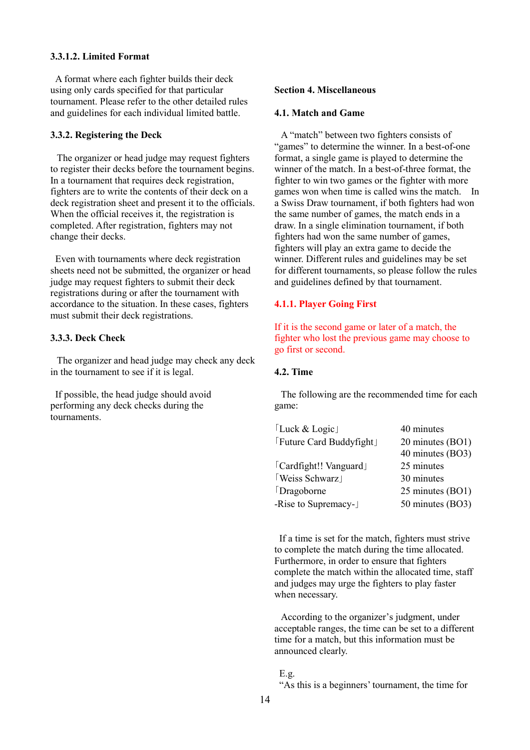# <span id="page-13-0"></span>**3.3.1.2. Limited Format**

A format where each fighter builds their deck using only cards specified for that particular tournament. Please refer to the other detailed rules and guidelines for each individual limited battle.

### <span id="page-13-1"></span>**3.3.2. Registering the Deck**

The organizer or head judge may request fighters to register their decks before the tournament begins. In a tournament that requires deck registration, fighters are to write the contents of their deck on a deck registration sheet and present it to the officials. When the official receives it, the registration is completed. After registration, fighters may not change their decks.

Even with tournaments where deck registration sheets need not be submitted, the organizer or head judge may request fighters to submit their deck registrations during or after the tournament with accordance to the situation. In these cases, fighters must submit their deck registrations.

## <span id="page-13-2"></span>**3.3.3. Deck Check**

The organizer and head judge may check any deck in the tournament to see if it is legal.

If possible, the head judge should avoid performing any deck checks during the tournaments.

#### <span id="page-13-3"></span>**Section 4. Miscellaneous**

# <span id="page-13-4"></span>**4.1. Match and Game**

A "match" between two fighters consists of "games" to determine the winner. In a best-of-one format, a single game is played to determine the winner of the match. In a best-of-three format, the fighter to win two games or the fighter with more games won when time is called wins the match. In a Swiss Draw tournament, if both fighters had won the same number of games, the match ends in a draw. In a single elimination tournament, if both fighters had won the same number of games, fighters will play an extra game to decide the winner. Different rules and guidelines may be set for different tournaments, so please follow the rules and guidelines defined by that tournament.

### <span id="page-13-5"></span>**4.1.1. Player Going First**

If it is the second game or later of a match, the fighter who lost the previous game may choose to go first or second.

#### <span id="page-13-6"></span>**4.2. Time**

The following are the recommended time for each game:

| [Luck & Logic]           | 40 minutes       |
|--------------------------|------------------|
| [Future Card Buddyfight] | 20 minutes (BO1) |
|                          | 40 minutes (BO3) |
| [Cardfight!! Vanguard]   | 25 minutes       |
| Weiss Schwarz            | 30 minutes       |
| Dragoborne               | 25 minutes (BO1) |
| -Rise to Supremacy-      | 50 minutes (BO3) |

If a time is set for the match, fighters must strive to complete the match during the time allocated. Furthermore, in order to ensure that fighters complete the match within the allocated time, staff and judges may urge the fighters to play faster when necessary.

According to the organizer's judgment, under acceptable ranges, the time can be set to a different time for a match, but this information must be announced clearly.

### E.g.

"As this is a beginners' tournament, the time for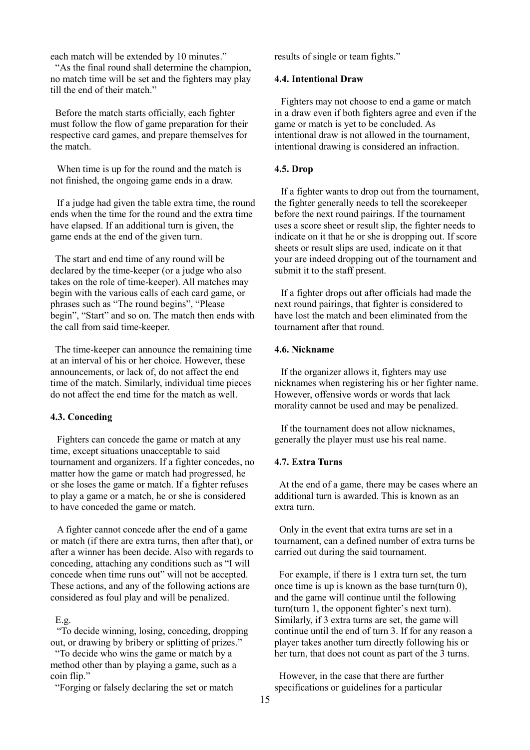each match will be extended by 10 minutes."

"As the final round shall determine the champion, no match time will be set and the fighters may play till the end of their match."

Before the match starts officially, each fighter must follow the flow of game preparation for their respective card games, and prepare themselves for the match.

When time is up for the round and the match is not finished, the ongoing game ends in a draw.

If a judge had given the table extra time, the round ends when the time for the round and the extra time have elapsed. If an additional turn is given, the game ends at the end of the given turn.

The start and end time of any round will be declared by the time-keeper (or a judge who also takes on the role of time-keeper). All matches may begin with the various calls of each card game, or phrases such as "The round begins", "Please begin", "Start" and so on. The match then ends with the call from said time-keeper.

The time-keeper can announce the remaining time at an interval of his or her choice. However, these announcements, or lack of, do not affect the end time of the match. Similarly, individual time pieces do not affect the end time for the match as well.

### <span id="page-14-0"></span>**4.3. Conceding**

Fighters can concede the game or match at any time, except situations unacceptable to said tournament and organizers. If a fighter concedes, no matter how the game or match had progressed, he or she loses the game or match. If a fighter refuses to play a game or a match, he or she is considered to have conceded the game or match.

A fighter cannot concede after the end of a game or match (if there are extra turns, then after that), or after a winner has been decide. Also with regards to conceding, attaching any conditions such as "I will concede when time runs out" will not be accepted. These actions, and any of the following actions are considered as foul play and will be penalized.

# E.g.

"To decide winning, losing, conceding, dropping out, or drawing by bribery or splitting of prizes."

"To decide who wins the game or match by a method other than by playing a game, such as a coin flip."

"Forging or falsely declaring the set or match

results of single or team fights."

### <span id="page-14-1"></span>**4.4. Intentional Draw**

Fighters may not choose to end a game or match in a draw even if both fighters agree and even if the game or match is yet to be concluded. As intentional draw is not allowed in the tournament, intentional drawing is considered an infraction.

# <span id="page-14-2"></span>**4.5. Drop**

If a fighter wants to drop out from the tournament, the fighter generally needs to tell the scorekeeper before the next round pairings. If the tournament uses a score sheet or result slip, the fighter needs to indicate on it that he or she is dropping out. If score sheets or result slips are used, indicate on it that your are indeed dropping out of the tournament and submit it to the staff present.

If a fighter drops out after officials had made the next round pairings, that fighter is considered to have lost the match and been eliminated from the tournament after that round.

## <span id="page-14-3"></span>**4.6. Nickname**

If the organizer allows it, fighters may use nicknames when registering his or her fighter name. However, offensive words or words that lack morality cannot be used and may be penalized.

If the tournament does not allow nicknames, generally the player must use his real name.

### <span id="page-14-4"></span>**4.7. Extra Turns**

At the end of a game, there may be cases where an additional turn is awarded. This is known as an extra turn.

Only in the event that extra turns are set in a tournament, can a defined number of extra turns be carried out during the said tournament.

For example, if there is 1 extra turn set, the turn once time is up is known as the base turn(turn 0), and the game will continue until the following turn(turn 1, the opponent fighter's next turn). Similarly, if 3 extra turns are set, the game will continue until the end of turn 3. If for any reason a player takes another turn directly following his or her turn, that does not count as part of the 3 turns.

However, in the case that there are further specifications or guidelines for a particular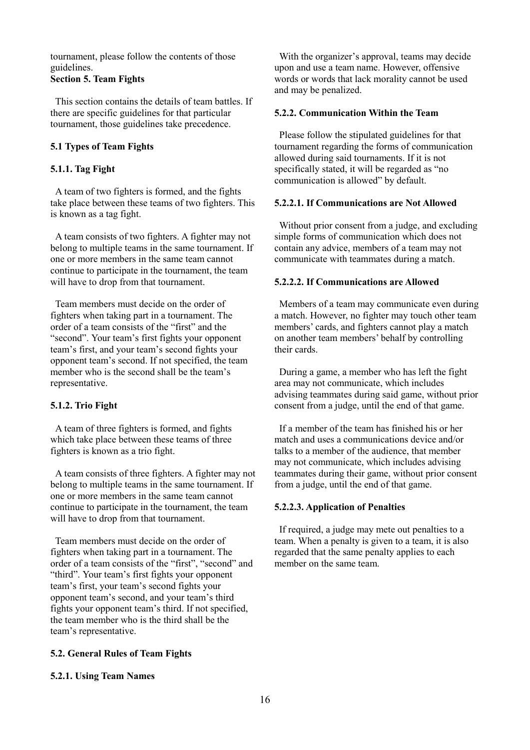tournament, please follow the contents of those guidelines.

# <span id="page-15-0"></span>**Section 5. Team Fights**

This section contains the details of team battles. If there are specific guidelines for that particular tournament, those guidelines take precedence.

# <span id="page-15-1"></span>**5.1 Types of Team Fights**

# <span id="page-15-2"></span>**5.1.1. Tag Fight**

A team of two fighters is formed, and the fights take place between these teams of two fighters. This is known as a tag fight.

A team consists of two fighters. A fighter may not belong to multiple teams in the same tournament. If one or more members in the same team cannot continue to participate in the tournament, the team will have to drop from that tournament.

Team members must decide on the order of fighters when taking part in a tournament. The order of a team consists of the "first" and the "second". Your team's first fights your opponent team's first, and your team's second fights your opponent team's second. If not specified, the team member who is the second shall be the team's representative.

# <span id="page-15-3"></span>**5.1.2. Trio Fight**

A team of three fighters is formed, and fights which take place between these teams of three fighters is known as a trio fight.

A team consists of three fighters. A fighter may not belong to multiple teams in the same tournament. If one or more members in the same team cannot continue to participate in the tournament, the team will have to drop from that tournament.

Team members must decide on the order of fighters when taking part in a tournament. The order of a team consists of the "first", "second" and "third". Your team's first fights your opponent team's first, your team's second fights your opponent team's second, and your team's third fights your opponent team's third. If not specified, the team member who is the third shall be the team's representative.

# <span id="page-15-4"></span>**5.2. General Rules of Team Fights**

# <span id="page-15-5"></span>**5.2.1. Using Team Names**

With the organizer's approval, teams may decide upon and use a team name. However, offensive words or words that lack morality cannot be used and may be penalized.

# <span id="page-15-6"></span>**5.2.2. Communication Within the Team**

Please follow the stipulated guidelines for that tournament regarding the forms of communication allowed during said tournaments. If it is not specifically stated, it will be regarded as "no communication is allowed" by default.

# <span id="page-15-7"></span>**5.2.2.1. If Communications are Not Allowed**

Without prior consent from a judge, and excluding simple forms of communication which does not contain any advice, members of a team may not communicate with teammates during a match.

# <span id="page-15-8"></span>**5.2.2.2. If Communications are Allowed**

Members of a team may communicate even during a match. However, no fighter may touch other team members' cards, and fighters cannot play a match on another team members' behalf by controlling their cards.

During a game, a member who has left the fight area may not communicate, which includes advising teammates during said game, without prior consent from a judge, until the end of that game.

If a member of the team has finished his or her match and uses a communications device and/or talks to a member of the audience, that member may not communicate, which includes advising teammates during their game, without prior consent from a judge, until the end of that game.

# <span id="page-15-9"></span>**5.2.2.3. Application of Penalties**

If required, a judge may mete out penalties to a team. When a penalty is given to a team, it is also regarded that the same penalty applies to each member on the same team.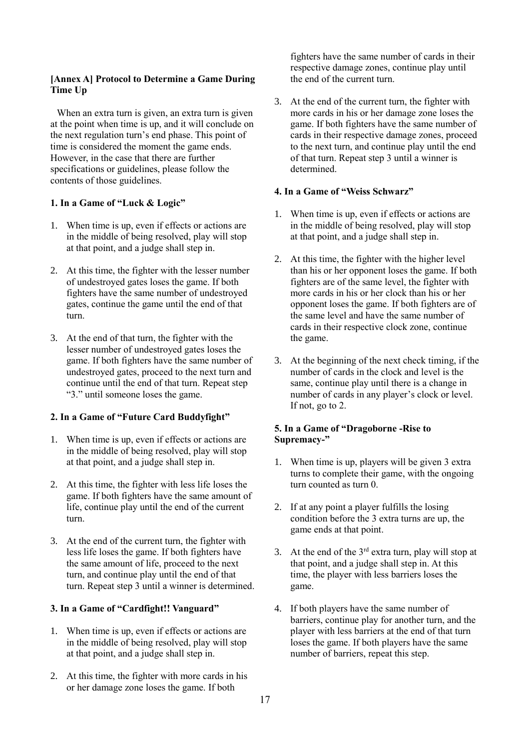# <span id="page-16-0"></span>**[Annex A] Protocol to Determine a Game During Time Up**

When an extra turn is given, an extra turn is given at the point when time is up, and it will conclude on the next regulation turn's end phase. This point of time is considered the moment the game ends. However, in the case that there are further specifications or guidelines, please follow the contents of those guidelines.

# **1. In a Game of "Luck & Logic"**

- 1. When time is up, even if effects or actions are in the middle of being resolved, play will stop at that point, and a judge shall step in.
- 2. At this time, the fighter with the lesser number of undestroyed gates loses the game. If both fighters have the same number of undestroyed gates, continue the game until the end of that turn.
- 3. At the end of that turn, the fighter with the lesser number of undestroyed gates loses the game. If both fighters have the same number of undestroyed gates, proceed to the next turn and continue until the end of that turn. Repeat step "3." until someone loses the game.

# **2. In a Game of "Future Card Buddyfight"**

- 1. When time is up, even if effects or actions are in the middle of being resolved, play will stop at that point, and a judge shall step in.
- 2. At this time, the fighter with less life loses the game. If both fighters have the same amount of life, continue play until the end of the current turn.
- 3. At the end of the current turn, the fighter with less life loses the game. If both fighters have the same amount of life, proceed to the next turn, and continue play until the end of that turn. Repeat step 3 until a winner is determined.

# **3. In a Game of "Cardfight!! Vanguard"**

- 1. When time is up, even if effects or actions are in the middle of being resolved, play will stop at that point, and a judge shall step in.
- 2. At this time, the fighter with more cards in his or her damage zone loses the game. If both

fighters have the same number of cards in their respective damage zones, continue play until the end of the current turn.

3. At the end of the current turn, the fighter with more cards in his or her damage zone loses the game. If both fighters have the same number of cards in their respective damage zones, proceed to the next turn, and continue play until the end of that turn. Repeat step 3 until a winner is determined.

# **4. In a Game of "Weiss Schwarz"**

- 1. When time is up, even if effects or actions are in the middle of being resolved, play will stop at that point, and a judge shall step in.
- 2. At this time, the fighter with the higher level than his or her opponent loses the game. If both fighters are of the same level, the fighter with more cards in his or her clock than his or her opponent loses the game. If both fighters are of the same level and have the same number of cards in their respective clock zone, continue the game.
- 3. At the beginning of the next check timing, if the number of cards in the clock and level is the same, continue play until there is a change in number of cards in any player's clock or level. If not, go to 2.

# **5. In a Game of "Dragoborne -Rise to Supremacy-"**

- 1. When time is up, players will be given 3 extra turns to complete their game, with the ongoing turn counted as turn 0.
- 2. If at any point a player fulfills the losing condition before the 3 extra turns are up, the game ends at that point.
- 3. At the end of the  $3<sup>rd</sup>$  extra turn, play will stop at that point, and a judge shall step in. At this time, the player with less barriers loses the game.
- 4. If both players have the same number of barriers, continue play for another turn, and the player with less barriers at the end of that turn loses the game. If both players have the same number of barriers, repeat this step.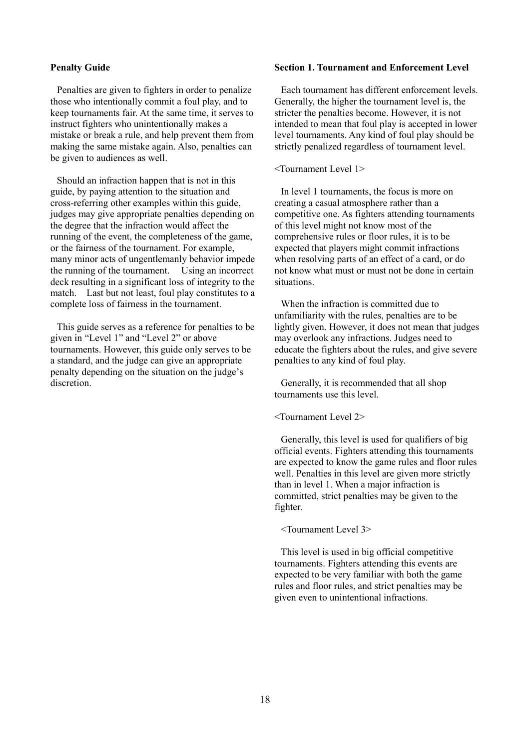### <span id="page-17-0"></span>**Penalty Guide**

Penalties are given to fighters in order to penalize those who intentionally commit a foul play, and to keep tournaments fair. At the same time, it serves to instruct fighters who unintentionally makes a mistake or break a rule, and help prevent them from making the same mistake again. Also, penalties can be given to audiences as well.

Should an infraction happen that is not in this guide, by paying attention to the situation and cross-referring other examples within this guide, judges may give appropriate penalties depending on the degree that the infraction would affect the running of the event, the completeness of the game, or the fairness of the tournament. For example, many minor acts of ungentlemanly behavior impede the running of the tournament. Using an incorrect deck resulting in a significant loss of integrity to the match. Last but not least, foul play constitutes to a complete loss of fairness in the tournament.

This guide serves as a reference for penalties to be given in "Level 1" and "Level 2" or above tournaments. However, this guide only serves to be a standard, and the judge can give an appropriate penalty depending on the situation on the judge's discretion.

### <span id="page-17-1"></span>**Section 1. Tournament and Enforcement Level**

Each tournament has different enforcement levels. Generally, the higher the tournament level is, the stricter the penalties become. However, it is not intended to mean that foul play is accepted in lower level tournaments. Any kind of foul play should be strictly penalized regardless of tournament level.

#### <Tournament Level 1>

In level 1 tournaments, the focus is more on creating a casual atmosphere rather than a competitive one. As fighters attending tournaments of this level might not know most of the comprehensive rules or floor rules, it is to be expected that players might commit infractions when resolving parts of an effect of a card, or do not know what must or must not be done in certain situations.

When the infraction is committed due to unfamiliarity with the rules, penalties are to be lightly given. However, it does not mean that judges may overlook any infractions. Judges need to educate the fighters about the rules, and give severe penalties to any kind of foul play.

Generally, it is recommended that all shop tournaments use this level.

<Tournament Level 2>

Generally, this level is used for qualifiers of big official events. Fighters attending this tournaments are expected to know the game rules and floor rules well. Penalties in this level are given more strictly than in level 1. When a major infraction is committed, strict penalties may be given to the fighter.

<Tournament Level 3>

This level is used in big official competitive tournaments. Fighters attending this events are expected to be very familiar with both the game rules and floor rules, and strict penalties may be given even to unintentional infractions.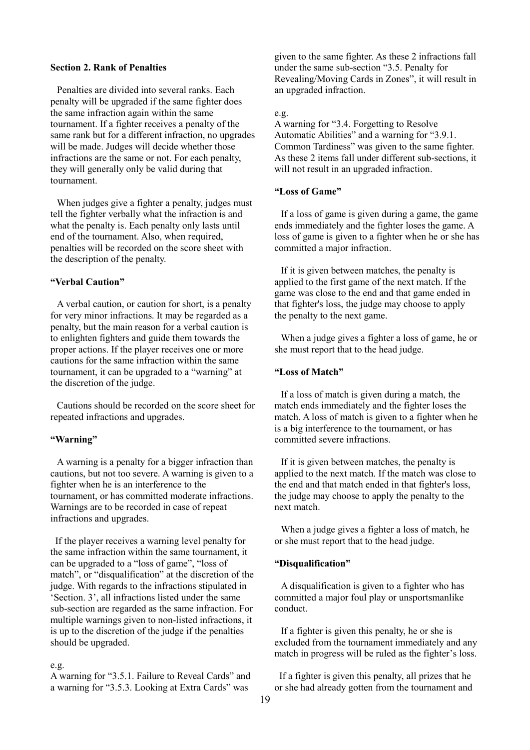### <span id="page-18-0"></span>**Section 2. Rank of Penalties**

Penalties are divided into several ranks. Each penalty will be upgraded if the same fighter does the same infraction again within the same tournament. If a fighter receives a penalty of the same rank but for a different infraction, no upgrades will be made. Judges will decide whether those infractions are the same or not. For each penalty, they will generally only be valid during that tournament.

When judges give a fighter a penalty, judges must tell the fighter verbally what the infraction is and what the penalty is. Each penalty only lasts until end of the tournament. Also, when required, penalties will be recorded on the score sheet with the description of the penalty.

### **"Verbal Caution"**

A verbal caution, or caution for short, is a penalty for very minor infractions. It may be regarded as a penalty, but the main reason for a verbal caution is to enlighten fighters and guide them towards the proper actions. If the player receives one or more cautions for the same infraction within the same tournament, it can be upgraded to a "warning" at the discretion of the judge.

Cautions should be recorded on the score sheet for repeated infractions and upgrades.

#### **"Warning"**

A warning is a penalty for a bigger infraction than cautions, but not too severe. A warning is given to a fighter when he is an interference to the tournament, or has committed moderate infractions. Warnings are to be recorded in case of repeat infractions and upgrades.

If the player receives a warning level penalty for the same infraction within the same tournament, it can be upgraded to a "loss of game", "loss of match", or "disqualification" at the discretion of the judge. With regards to the infractions stipulated in 'Section. 3', all infractions listed under the same sub-section are regarded as the same infraction. For multiple warnings given to non-listed infractions, it is up to the discretion of the judge if the penalties should be upgraded.

# e.g.

A warning for "3.5.1. Failure to Reveal Cards" and a warning for "3.5.3. Looking at Extra Cards" was

given to the same fighter. As these 2 infractions fall under the same sub-section "3.5. Penalty for Revealing/Moving Cards in Zones", it will result in an upgraded infraction.

#### e.g.

A warning for "3.4. Forgetting to Resolve Automatic Abilities" and a warning for "3.9.1. Common Tardiness" was given to the same fighter. As these 2 items fall under different sub-sections, it will not result in an upgraded infraction.

### **"Loss of Game"**

If a loss of game is given during a game, the game ends immediately and the fighter loses the game. A loss of game is given to a fighter when he or she has committed a major infraction.

If it is given between matches, the penalty is applied to the first game of the next match. If the game was close to the end and that game ended in that fighter's loss, the judge may choose to apply the penalty to the next game.

When a judge gives a fighter a loss of game, he or she must report that to the head judge.

# **"Loss of Match"**

If a loss of match is given during a match, the match ends immediately and the fighter loses the match. A loss of match is given to a fighter when he is a big interference to the tournament, or has committed severe infractions.

If it is given between matches, the penalty is applied to the next match. If the match was close to the end and that match ended in that fighter's loss, the judge may choose to apply the penalty to the next match.

When a judge gives a fighter a loss of match, he or she must report that to the head judge.

# **"Disqualification"**

A disqualification is given to a fighter who has committed a major foul play or unsportsmanlike conduct.

If a fighter is given this penalty, he or she is excluded from the tournament immediately and any match in progress will be ruled as the fighter's loss.

If a fighter is given this penalty, all prizes that he or she had already gotten from the tournament and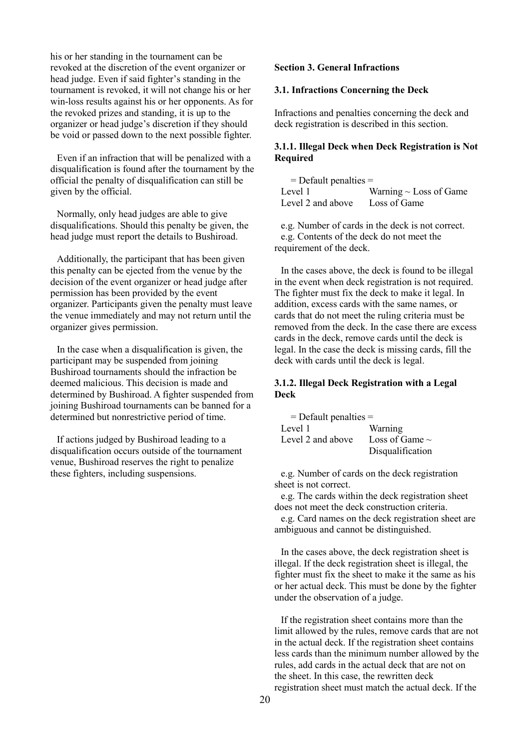his or her standing in the tournament can be revoked at the discretion of the event organizer or head judge. Even if said fighter's standing in the tournament is revoked, it will not change his or her win-loss results against his or her opponents. As for the revoked prizes and standing, it is up to the organizer or head judge's discretion if they should be void or passed down to the next possible fighter.

Even if an infraction that will be penalized with a disqualification is found after the tournament by the official the penalty of disqualification can still be given by the official.

Normally, only head judges are able to give disqualifications. Should this penalty be given, the head judge must report the details to Bushiroad.

Additionally, the participant that has been given this penalty can be ejected from the venue by the decision of the event organizer or head judge after permission has been provided by the event organizer. Participants given the penalty must leave the venue immediately and may not return until the organizer gives permission.

In the case when a disqualification is given, the participant may be suspended from joining Bushiroad tournaments should the infraction be deemed malicious. This decision is made and determined by Bushiroad. A fighter suspended from joining Bushiroad tournaments can be banned for a determined but nonrestrictive period of time.

If actions judged by Bushiroad leading to a disqualification occurs outside of the tournament venue, Bushiroad reserves the right to penalize these fighters, including suspensions.

### <span id="page-19-0"></span>**Section 3. General Infractions**

### <span id="page-19-1"></span>**3.1. Infractions Concerning the Deck**

Infractions and penalties concerning the deck and deck registration is described in this section.

# <span id="page-19-2"></span>**3.1.1. Illegal Deck when Deck Registration is Not Required**

| $=$ Default penalties $=$ |                             |
|---------------------------|-----------------------------|
| Level 1                   | Warning $\sim$ Loss of Game |
| Level 2 and above         | Loss of Game                |

e.g. Number of cards in the deck is not correct. e.g. Contents of the deck do not meet the requirement of the deck.

In the cases above, the deck is found to be illegal in the event when deck registration is not required. The fighter must fix the deck to make it legal. In addition, excess cards with the same names, or cards that do not meet the ruling criteria must be removed from the deck. In the case there are excess cards in the deck, remove cards until the deck is legal. In the case the deck is missing cards, fill the deck with cards until the deck is legal.

# <span id="page-19-3"></span>**3.1.2. Illegal Deck Registration with a Legal Deck**

| $=$ Default penalties $=$ |                     |
|---------------------------|---------------------|
| Level 1                   | Warning             |
| Level 2 and above         | Loss of Game $\sim$ |
|                           | Disqualification    |

e.g. Number of cards on the deck registration sheet is not correct.

e.g. The cards within the deck registration sheet does not meet the deck construction criteria.

e.g. Card names on the deck registration sheet are ambiguous and cannot be distinguished.

In the cases above, the deck registration sheet is illegal. If the deck registration sheet is illegal, the fighter must fix the sheet to make it the same as his or her actual deck. This must be done by the fighter under the observation of a judge.

If the registration sheet contains more than the limit allowed by the rules, remove cards that are not in the actual deck. If the registration sheet contains less cards than the minimum number allowed by the rules, add cards in the actual deck that are not on the sheet. In this case, the rewritten deck registration sheet must match the actual deck. If the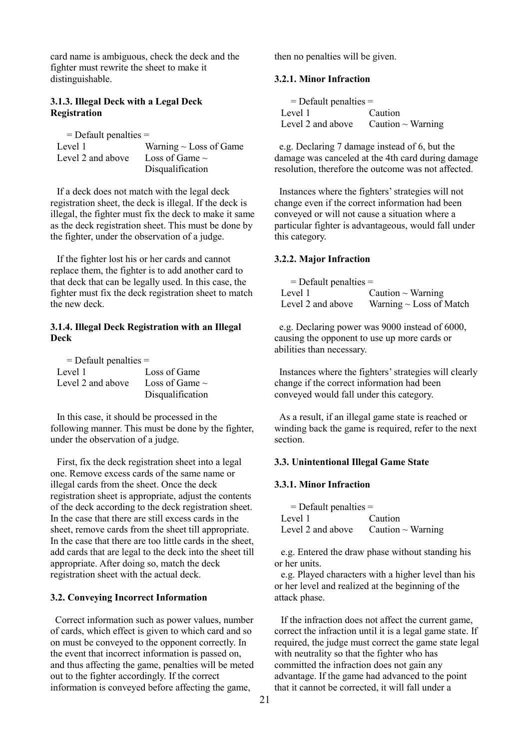card name is ambiguous, check the deck and the fighter must rewrite the sheet to make it distinguishable.

# <span id="page-20-0"></span>**3.1.3. Illegal Deck with a Legal Deck Registration**

| $=$ Default penalties $=$ |                             |
|---------------------------|-----------------------------|
| Level 1                   | Warning $\sim$ Loss of Game |
| Level 2 and above         | Loss of Game $\sim$         |
|                           | Disqualification            |

If a deck does not match with the legal deck registration sheet, the deck is illegal. If the deck is illegal, the fighter must fix the deck to make it same as the deck registration sheet. This must be done by the fighter, under the observation of a judge.

If the fighter lost his or her cards and cannot replace them, the fighter is to add another card to that deck that can be legally used. In this case, the fighter must fix the deck registration sheet to match the new deck.

# <span id="page-20-1"></span>**3.1.4. Illegal Deck Registration with an Illegal Deck**

| $=$ Default penalties $=$ |                     |
|---------------------------|---------------------|
| Level 1                   | Loss of Game        |
| Level 2 and above         | Loss of Game $\sim$ |
|                           | Disqualification    |

In this case, it should be processed in the following manner. This must be done by the fighter, under the observation of a judge.

First, fix the deck registration sheet into a legal one. Remove excess cards of the same name or illegal cards from the sheet. Once the deck registration sheet is appropriate, adjust the contents of the deck according to the deck registration sheet. In the case that there are still excess cards in the sheet, remove cards from the sheet till appropriate. In the case that there are too little cards in the sheet, add cards that are legal to the deck into the sheet till appropriate. After doing so, match the deck registration sheet with the actual deck.

### <span id="page-20-2"></span>**3.2. Conveying Incorrect Information**

Correct information such as power values, number of cards, which effect is given to which card and so on must be conveyed to the opponent correctly. In the event that incorrect information is passed on, and thus affecting the game, penalties will be meted out to the fighter accordingly. If the correct information is conveyed before affecting the game,

then no penalties will be given.

## <span id="page-20-3"></span>**3.2.1. Minor Infraction**

| $=$ Default penalties $=$ |                        |  |
|---------------------------|------------------------|--|
| Level 1                   | Caution                |  |
| Level 2 and above         | Caution $\sim$ Warning |  |

e.g. Declaring 7 damage instead of 6, but the damage was canceled at the 4th card during damage resolution, therefore the outcome was not affected.

Instances where the fighters' strategies will not change even if the correct information had been conveyed or will not cause a situation where a particular fighter is advantageous, would fall under this category.

### <span id="page-20-4"></span>**3.2.2. Major Infraction**

| $=$ Default penalties $=$ |                              |
|---------------------------|------------------------------|
| Level 1                   | Caution $\sim$ Warning       |
| Level 2 and above         | Warning $\sim$ Loss of Match |

e.g. Declaring power was 9000 instead of 6000, causing the opponent to use up more cards or abilities than necessary.

Instances where the fighters' strategies will clearly change if the correct information had been conveyed would fall under this category.

As a result, if an illegal game state is reached or winding back the game is required, refer to the next section.

### <span id="page-20-5"></span>**3.3. Unintentional Illegal Game State**

# <span id="page-20-6"></span>**3.3.1. Minor Infraction**

| $=$ Default penalties $=$ |                                          |  |
|---------------------------|------------------------------------------|--|
| Level 1                   | Caution                                  |  |
|                           | Level 2 and above Caution $\sim$ Warning |  |

e.g. Entered the draw phase without standing his or her units.

e.g. Played characters with a higher level than his or her level and realized at the beginning of the attack phase.

If the infraction does not affect the current game, correct the infraction until it is a legal game state. If required, the judge must correct the game state legal with neutrality so that the fighter who has committed the infraction does not gain any advantage. If the game had advanced to the point that it cannot be corrected, it will fall under a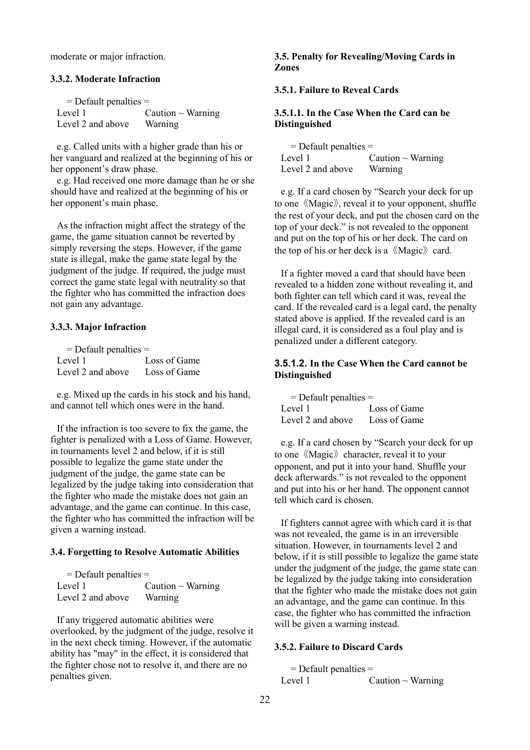moderate or major infraction.

### <span id="page-21-0"></span>**3.3.2. Moderate Infraction**

| $=$ Default penalties $=$ |                        |
|---------------------------|------------------------|
| Level 1                   | Caution $\sim$ Warning |
| Level 2 and above         | Warning                |

e.g. Called units with a higher grade than his or her vanguard and realized at the beginning of his or her opponent's draw phase.

e.g. Had received one more damage than he or she should have and realized at the beginning of his or her opponent's main phase.

As the infraction might affect the strategy of the game, the game situation cannot be reverted by simply reversing the steps. However, if the game state is illegal, make the game state legal by the judgment of the judge. If required, the judge must correct the game state legal with neutrality so that the fighter who has committed the infraction does not gain any advantage.

# <span id="page-21-1"></span>**3.3.3. Major Infraction**

| $=$ Default penalties $=$ |              |
|---------------------------|--------------|
| Level 1                   | Loss of Game |
| Level 2 and above         | Loss of Game |

e.g. Mixed up the cards in his stock and his hand, and cannot tell which ones were in the hand.

If the infraction is too severe to fix the game, the fighter is penalized with a Loss of Game. However, in tournaments level 2 and below, if it is still possible to legalize the game state under the judgment of the judge, the game state can be legalized by the judge taking into consideration that the fighter who made the mistake does not gain an advantage, and the game can continue. In this case, the fighter who has committed the infraction will be given a warning instead.

### <span id="page-21-2"></span>**3.4. Forgetting to Resolve Automatic Abilities**

| $=$ Default penalties $=$ |                        |
|---------------------------|------------------------|
| Level 1                   | Caution $\sim$ Warning |
| Level 2 and above         | Warning                |

If any triggered automatic abilities were overlooked, by the judgment of the judge, resolve it in the next check timing. However, if the automatic ability has "may" in the effect, it is considered that the fighter chose not to resolve it, and there are no penalties given.

# <span id="page-21-3"></span>**3.5. Penalty for Revealing/Moving Cards in Zones**

## <span id="page-21-4"></span>**3.5.1. Failure to Reveal Cards**

# <span id="page-21-5"></span>**3.5.1.1. In the Case When the Card can be Distinguished**

| $=$ Default penalties $=$ |                        |
|---------------------------|------------------------|
| Level 1                   | Caution $\sim$ Warning |
| Level 2 and above         | Warning                |

e.g. If a card chosen by "Search your deck for up to one 《Magic》, reveal it to your opponent, shuffle the rest of your deck, and put the chosen card on the top of your deck." is not revealed to the opponent and put on the top of his or her deck. The card on the top of his or her deck is a  $\langle\langle \text{Magic} \rangle\rangle$  card.

If a fighter moved a card that should have been revealed to a hidden zone without revealing it, and both fighter can tell which card it was, reveal the card. If the revealed card is a legal card, the penalty stated above is applied. If the revealed card is an illegal card, it is considered as a foul play and is penalized under a different category.

# <span id="page-21-7"></span><span id="page-21-6"></span>**3.5.1.2. In the Case When the Card cannot be Distinguished**

| $=$ Default penalties $=$ |              |
|---------------------------|--------------|
| Level 1                   | Loss of Game |
| Level 2 and above         | Loss of Game |

e.g. If a card chosen by "Search your deck for up to one 《Magic》 character, reveal it to your opponent, and put it into your hand. Shuffle your deck afterwards." is not revealed to the opponent and put into his or her hand. The opponent cannot tell which card is chosen.

If fighters cannot agree with which card it is that was not revealed, the game is in an irreversible situation. However, in tournaments level 2 and below, if it is still possible to legalize the game state under the judgment of the judge, the game state can be legalized by the judge taking into consideration that the fighter who made the mistake does not gain an advantage, and the game can continue. In this case, the fighter who has committed the infraction will be given a warning instead.

# <span id="page-21-8"></span>**3.5.2. Failure to Discard Cards**

 $=$  Default penalties  $=$ Level 1  $\qquad \qquad$  Caution ~ Warning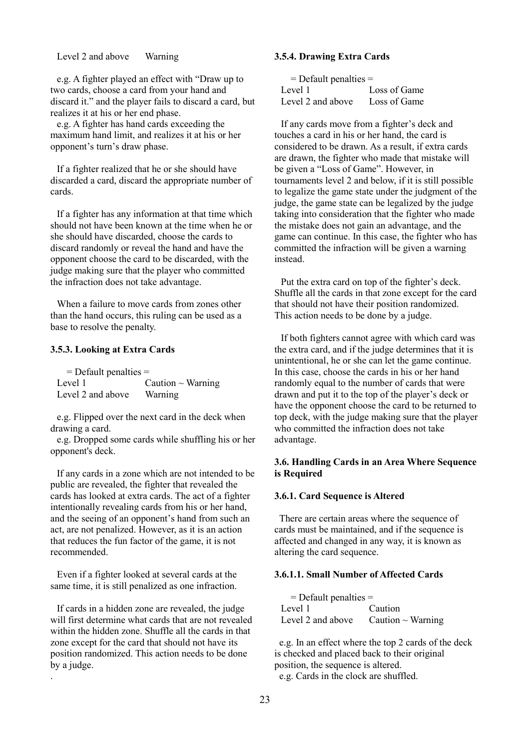Level 2 and above Warning

e.g. A fighter played an effect with "Draw up to two cards, choose a card from your hand and discard it." and the player fails to discard a card, but realizes it at his or her end phase.

e.g. A fighter has hand cards exceeding the maximum hand limit, and realizes it at his or her opponent's turn's draw phase.

If a fighter realized that he or she should have discarded a card, discard the appropriate number of cards.

If a fighter has any information at that time which should not have been known at the time when he or she should have discarded, choose the cards to discard randomly or reveal the hand and have the opponent choose the card to be discarded, with the judge making sure that the player who committed the infraction does not take advantage.

When a failure to move cards from zones other than the hand occurs, this ruling can be used as a base to resolve the penalty.

### <span id="page-22-0"></span>**3.5.3. Looking at Extra Cards**

| $=$ Default penalties $=$ |                        |
|---------------------------|------------------------|
| Level 1                   | Caution $\sim$ Warning |
| Level 2 and above         | Warning                |

e.g. Flipped over the next card in the deck when drawing a card.

e.g. Dropped some cards while shuffling his or her opponent's deck.

If any cards in a zone which are not intended to be public are revealed, the fighter that revealed the cards has looked at extra cards. The act of a fighter intentionally revealing cards from his or her hand, and the seeing of an opponent's hand from such an act, are not penalized. However, as it is an action that reduces the fun factor of the game, it is not recommended.

Even if a fighter looked at several cards at the same time, it is still penalized as one infraction.

If cards in a hidden zone are revealed, the judge will first determine what cards that are not revealed within the hidden zone. Shuffle all the cards in that zone except for the card that should not have its position randomized. This action needs to be done by a judge. .

## <span id="page-22-1"></span>**3.5.4. Drawing Extra Cards**

| $=$ Default penalties $=$ |              |
|---------------------------|--------------|
| Level 1                   | Loss of Game |
| Level 2 and above         | Loss of Game |

If any cards move from a fighter's deck and touches a card in his or her hand, the card is considered to be drawn. As a result, if extra cards are drawn, the fighter who made that mistake will be given a "Loss of Game". However, in tournaments level 2 and below, if it is still possible to legalize the game state under the judgment of the judge, the game state can be legalized by the judge taking into consideration that the fighter who made the mistake does not gain an advantage, and the game can continue. In this case, the fighter who has committed the infraction will be given a warning instead.

Put the extra card on top of the fighter's deck. Shuffle all the cards in that zone except for the card that should not have their position randomized. This action needs to be done by a judge.

If both fighters cannot agree with which card was the extra card, and if the judge determines that it is unintentional, he or she can let the game continue. In this case, choose the cards in his or her hand randomly equal to the number of cards that were drawn and put it to the top of the player's deck or have the opponent choose the card to be returned to top deck, with the judge making sure that the player who committed the infraction does not take advantage.

# <span id="page-22-2"></span>**3.6. Handling Cards in an Area Where Sequence is Required**

### <span id="page-22-3"></span>**3.6.1. Card Sequence is Altered**

There are certain areas where the sequence of cards must be maintained, and if the sequence is affected and changed in any way, it is known as altering the card sequence.

### <span id="page-22-4"></span>**3.6.1.1. Small Number of Affected Cards**

| $=$ Default penalties $=$ |                                          |
|---------------------------|------------------------------------------|
| Level 1                   | Caution                                  |
|                           | Level 2 and above Caution $\sim$ Warning |

e.g. In an effect where the top 2 cards of the deck is checked and placed back to their original position, the sequence is altered. e.g. Cards in the clock are shuffled.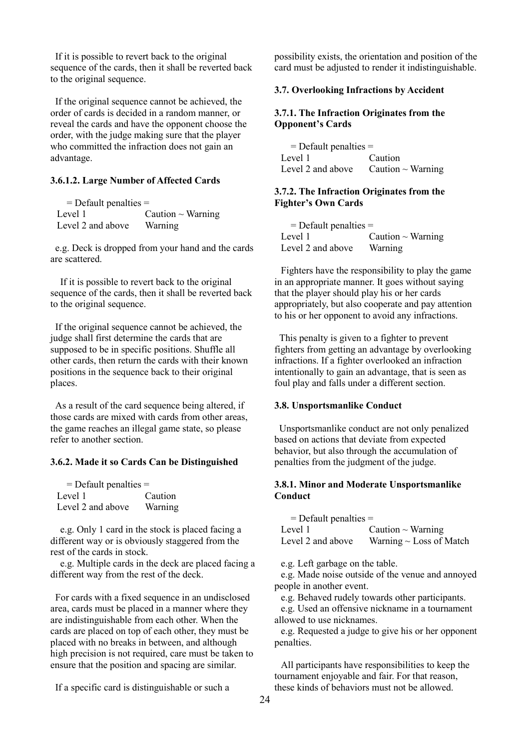If it is possible to revert back to the original sequence of the cards, then it shall be reverted back to the original sequence.

If the original sequence cannot be achieved, the order of cards is decided in a random manner, or reveal the cards and have the opponent choose the order, with the judge making sure that the player who committed the infraction does not gain an advantage.

# <span id="page-23-0"></span>**3.6.1.2. Large Number of Affected Cards**

| $=$ Default penalties $=$ |                        |
|---------------------------|------------------------|
| Level 1                   | Caution $\sim$ Warning |
| Level 2 and above         | Warning                |

e.g. Deck is dropped from your hand and the cards are scattered.

If it is possible to revert back to the original sequence of the cards, then it shall be reverted back to the original sequence.

If the original sequence cannot be achieved, the judge shall first determine the cards that are supposed to be in specific positions. Shuffle all other cards, then return the cards with their known positions in the sequence back to their original places.

As a result of the card sequence being altered, if those cards are mixed with cards from other areas, the game reaches an illegal game state, so please refer to another section.

### <span id="page-23-1"></span>**3.6.2. Made it so Cards Can be Distinguished**

| $=$ Default penalties $=$ |         |
|---------------------------|---------|
| Level 1                   | Caution |
| Level 2 and above         | Warning |

e.g. Only 1 card in the stock is placed facing a different way or is obviously staggered from the rest of the cards in stock.

 e.g. Multiple cards in the deck are placed facing a different way from the rest of the deck.

For cards with a fixed sequence in an undisclosed area, cards must be placed in a manner where they are indistinguishable from each other. When the cards are placed on top of each other, they must be placed with no breaks in between, and although high precision is not required, care must be taken to ensure that the position and spacing are similar.

If a specific card is distinguishable or such a

possibility exists, the orientation and position of the card must be adjusted to render it indistinguishable.

## <span id="page-23-2"></span>**3.7. Overlooking Infractions by Accident**

# <span id="page-23-3"></span>**3.7.1. The Infraction Originates from the Opponent's Cards**

= Default penalties = Level 1 Caution Level 2 and above Caution  $\sim$  Warning

### <span id="page-23-4"></span>**3.7.2. The Infraction Originates from the Fighter's Own Cards**

| $=$ Default penalties $=$ |                        |
|---------------------------|------------------------|
| Level 1                   | Caution $\sim$ Warning |
| Level 2 and above         | Warning                |

Fighters have the responsibility to play the game in an appropriate manner. It goes without saying that the player should play his or her cards appropriately, but also cooperate and pay attention to his or her opponent to avoid any infractions.

This penalty is given to a fighter to prevent fighters from getting an advantage by overlooking infractions. If a fighter overlooked an infraction intentionally to gain an advantage, that is seen as foul play and falls under a different section.

# <span id="page-23-5"></span>**3.8. Unsportsmanlike Conduct**

Unsportsmanlike conduct are not only penalized based on actions that deviate from expected behavior, but also through the accumulation of penalties from the judgment of the judge.

## <span id="page-23-6"></span>**3.8.1. Minor and Moderate Unsportsmanlike Conduct**

| $=$ Default penalties $=$ |                              |
|---------------------------|------------------------------|
| Level 1                   | Caution $\sim$ Warning       |
| Level 2 and above         | Warning $\sim$ Loss of Match |

e.g. Left garbage on the table.

e.g. Made noise outside of the venue and annoyed people in another event.

e.g. Behaved rudely towards other participants.

e.g. Used an offensive nickname in a tournament allowed to use nicknames.

e.g. Requested a judge to give his or her opponent penalties.

All participants have responsibilities to keep the tournament enjoyable and fair. For that reason, these kinds of behaviors must not be allowed.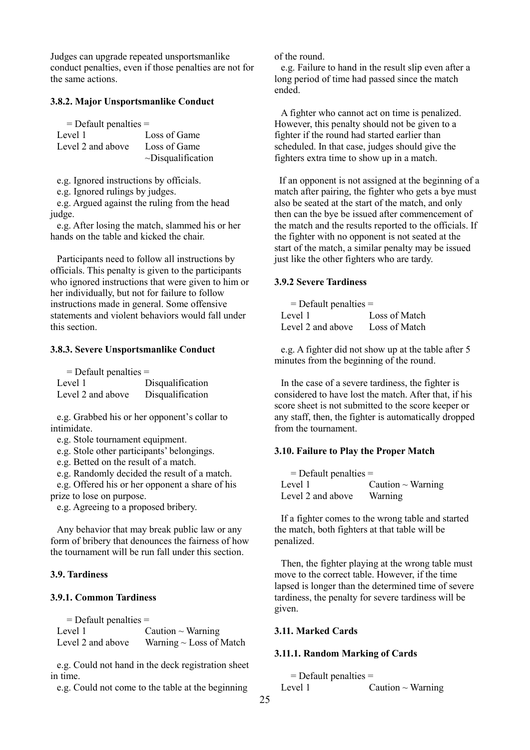Judges can upgrade repeated unsportsmanlike conduct penalties, even if those penalties are not for the same actions.

### <span id="page-24-0"></span>**3.8.2. Major Unsportsmanlike Conduct**

| $=$ Default penalties $=$ |                         |
|---------------------------|-------------------------|
| Level 1                   | Loss of Game            |
| Level 2 and above         | Loss of Game            |
|                           | $\sim$ Disqualification |

e.g. Ignored instructions by officials.

e.g. Ignored rulings by judges.

e.g. Argued against the ruling from the head judge.

e.g. After losing the match, slammed his or her hands on the table and kicked the chair.

Participants need to follow all instructions by officials. This penalty is given to the participants who ignored instructions that were given to him or her individually, but not for failure to follow instructions made in general. Some offensive statements and violent behaviors would fall under this section.

### <span id="page-24-1"></span>**3.8.3. Severe Unsportsmanlike Conduct**

| $=$ Default penalties $=$ |                  |
|---------------------------|------------------|
| Level 1                   | Disqualification |
| Level 2 and above         | Disqualification |

e.g. Grabbed his or her opponent's collar to intimidate.

e.g. Stole tournament equipment.

e.g. Stole other participants' belongings.

e.g. Betted on the result of a match.

e.g. Randomly decided the result of a match.

e.g. Offered his or her opponent a share of his prize to lose on purpose.

e.g. Agreeing to a proposed bribery.

Any behavior that may break public law or any form of bribery that denounces the fairness of how the tournament will be run fall under this section.

### <span id="page-24-2"></span>**3.9. Tardiness**

### <span id="page-24-3"></span>**3.9.1. Common Tardiness**

 $=$  Default penalties  $=$ Level 1  $C$ aution ~ Warning Level 2 and above Warning  $\sim$  Loss of Match

e.g. Could not hand in the deck registration sheet in time.

e.g. Could not come to the table at the beginning

of the round.

e.g. Failure to hand in the result slip even after a long period of time had passed since the match ended.

A fighter who cannot act on time is penalized. However, this penalty should not be given to a fighter if the round had started earlier than scheduled. In that case, judges should give the fighters extra time to show up in a match.

If an opponent is not assigned at the beginning of a match after pairing, the fighter who gets a bye must also be seated at the start of the match, and only then can the bye be issued after commencement of the match and the results reported to the officials. If the fighter with no opponent is not seated at the start of the match, a similar penalty may be issued just like the other fighters who are tardy.

### <span id="page-24-4"></span>**3.9.2 Severe Tardiness**

| $=$ Default penalties $=$ |               |
|---------------------------|---------------|
| Level 1                   | Loss of Match |
| Level 2 and above         | Loss of Match |

e.g. A fighter did not show up at the table after 5 minutes from the beginning of the round.

In the case of a severe tardiness, the fighter is considered to have lost the match. After that, if his score sheet is not submitted to the score keeper or any staff, then, the fighter is automatically dropped from the tournament.

### <span id="page-24-5"></span>**3.10. Failure to Play the Proper Match**

| $=$ Default penalties $=$ |                        |
|---------------------------|------------------------|
| Level 1                   | Caution $\sim$ Warning |
| Level 2 and above         | Warning                |

If a fighter comes to the wrong table and started the match, both fighters at that table will be penalized.

Then, the fighter playing at the wrong table must move to the correct table. However, if the time lapsed is longer than the determined time of severe tardiness, the penalty for severe tardiness will be given.

# <span id="page-24-6"></span>**3.11. Marked Cards**

#### <span id="page-24-7"></span>**3.11.1. Random Marking of Cards**

= Default penalties = Level 1  $\qquad \qquad$  Caution ~ Warning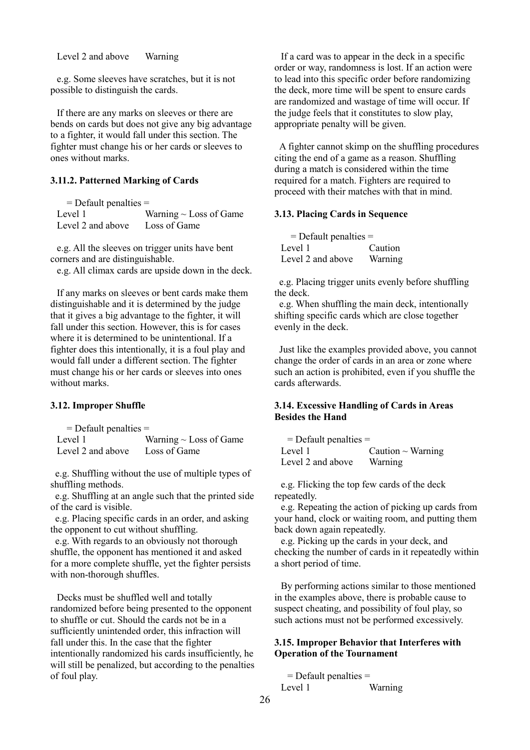Level 2 and above Warning

e.g. Some sleeves have scratches, but it is not possible to distinguish the cards.

If there are any marks on sleeves or there are bends on cards but does not give any big advantage to a fighter, it would fall under this section. The fighter must change his or her cards or sleeves to ones without marks.

# <span id="page-25-0"></span>**3.11.2. Patterned Marking of Cards**

| $=$ Default penalties $=$ |                             |
|---------------------------|-----------------------------|
| Level 1                   | Warning $\sim$ Loss of Game |
| Level 2 and above         | Loss of Game                |

e.g. All the sleeves on trigger units have bent corners and are distinguishable.

e.g. All climax cards are upside down in the deck.

If any marks on sleeves or bent cards make them distinguishable and it is determined by the judge that it gives a big advantage to the fighter, it will fall under this section. However, this is for cases where it is determined to be unintentional. If a fighter does this intentionally, it is a foul play and would fall under a different section. The fighter must change his or her cards or sleeves into ones without marks.

## <span id="page-25-1"></span>**3.12. Improper Shuffle**

| $=$ Default penalties $=$ |                             |
|---------------------------|-----------------------------|
| Level 1                   | Warning $\sim$ Loss of Game |
| Level 2 and above         | Loss of Game                |

e.g. Shuffling without the use of multiple types of shuffling methods.

e.g. Shuffling at an angle such that the printed side of the card is visible.

e.g. Placing specific cards in an order, and asking the opponent to cut without shuffling.

e.g. With regards to an obviously not thorough shuffle, the opponent has mentioned it and asked for a more complete shuffle, yet the fighter persists with non-thorough shuffles.

Decks must be shuffled well and totally randomized before being presented to the opponent to shuffle or cut. Should the cards not be in a sufficiently unintended order, this infraction will fall under this. In the case that the fighter intentionally randomized his cards insufficiently, he will still be penalized, but according to the penalties of foul play.

If a card was to appear in the deck in a specific order or way, randomness is lost. If an action were to lead into this specific order before randomizing the deck, more time will be spent to ensure cards are randomized and wastage of time will occur. If the judge feels that it constitutes to slow play, appropriate penalty will be given.

A fighter cannot skimp on the shuffling procedures citing the end of a game as a reason. Shuffling during a match is considered within the time required for a match. Fighters are required to proceed with their matches with that in mind.

### <span id="page-25-2"></span>**3.13. Placing Cards in Sequence**

| $=$ Default penalties $=$ |         |
|---------------------------|---------|
| Level 1                   | Caution |
| Level 2 and above         | Warning |

e.g. Placing trigger units evenly before shuffling the deck.

e.g. When shuffling the main deck, intentionally shifting specific cards which are close together evenly in the deck.

Just like the examples provided above, you cannot change the order of cards in an area or zone where such an action is prohibited, even if you shuffle the cards afterwards.

# <span id="page-25-3"></span>**3.14. Excessive Handling of Cards in Areas Besides the Hand**

 $=$  Default penalties  $=$ Level 1  $\qquad \qquad$  Caution ~ Warning Level 2 and above Warning

e.g. Flicking the top few cards of the deck repeatedly.

e.g. Repeating the action of picking up cards from your hand, clock or waiting room, and putting them back down again repeatedly.

e.g. Picking up the cards in your deck, and checking the number of cards in it repeatedly within a short period of time.

By performing actions similar to those mentioned in the examples above, there is probable cause to suspect cheating, and possibility of foul play, so such actions must not be performed excessively.

# <span id="page-25-4"></span>**3.15. Improper Behavior that Interferes with Operation of the Tournament**

 = Default penalties = Level 1 Warning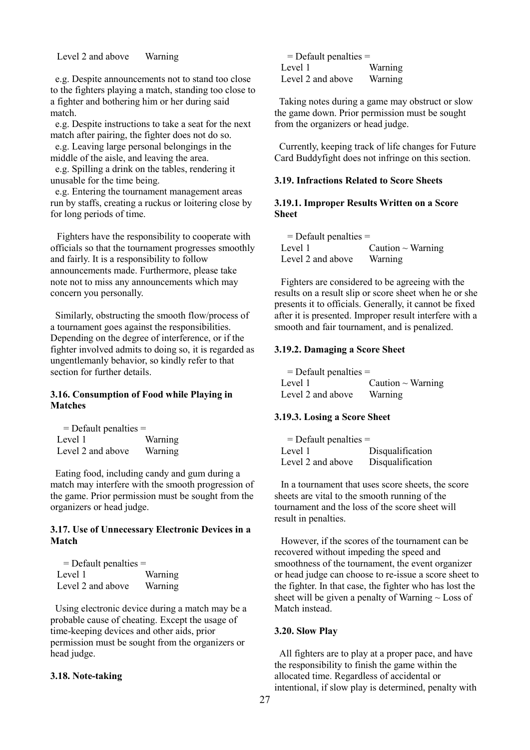Level 2 and above Warning

e.g. Despite announcements not to stand too close to the fighters playing a match, standing too close to a fighter and bothering him or her during said match.

e.g. Despite instructions to take a seat for the next match after pairing, the fighter does not do so.

e.g. Leaving large personal belongings in the middle of the aisle, and leaving the area.

e.g. Spilling a drink on the tables, rendering it unusable for the time being.

e.g. Entering the tournament management areas run by staffs, creating a ruckus or loitering close by for long periods of time.

Fighters have the responsibility to cooperate with officials so that the tournament progresses smoothly and fairly. It is a responsibility to follow announcements made. Furthermore, please take note not to miss any announcements which may concern you personally.

Similarly, obstructing the smooth flow/process of a tournament goes against the responsibilities. Depending on the degree of interference, or if the fighter involved admits to doing so, it is regarded as ungentlemanly behavior, so kindly refer to that section for further details.

### <span id="page-26-0"></span>**3.16. Consumption of Food while Playing in Matches**

| $=$ Default penalties $=$ |         |
|---------------------------|---------|
| Level 1                   | Warning |
| Level 2 and above         | Warning |

Eating food, including candy and gum during a match may interfere with the smooth progression of the game. Prior permission must be sought from the organizers or head judge.

# <span id="page-26-1"></span>**3.17. Use of Unnecessary Electronic Devices in a Match**

| $=$ Default penalties $=$ |         |
|---------------------------|---------|
| Level 1                   | Warning |
| Level 2 and above         | Warning |

Using electronic device during a match may be a probable cause of cheating. Except the usage of time-keeping devices and other aids, prior permission must be sought from the organizers or head judge.

### <span id="page-26-2"></span>**3.18. Note-taking**

| $=$ Default penalties $=$ |         |
|---------------------------|---------|
| Level 1                   | Warning |
| Level 2 and above         | Warning |

Taking notes during a game may obstruct or slow the game down. Prior permission must be sought from the organizers or head judge.

Currently, keeping track of life changes for Future Card Buddyfight does not infringe on this section.

## <span id="page-26-3"></span>**3.19. Infractions Related to Score Sheets**

### <span id="page-26-4"></span>**3.19.1. Improper Results Written on a Score Sheet**

| $=$ Default penalties $=$ |                        |
|---------------------------|------------------------|
| Level 1                   | Caution $\sim$ Warning |
| Level 2 and above         | Warning                |

Fighters are considered to be agreeing with the results on a result slip or score sheet when he or she presents it to officials. Generally, it cannot be fixed after it is presented. Improper result interfere with a smooth and fair tournament, and is penalized.

#### <span id="page-26-5"></span>**3.19.2. Damaging a Score Sheet**

| $=$ Default penalties $=$ |                        |
|---------------------------|------------------------|
| Level 1                   | Caution $\sim$ Warning |
| Level 2 and above         | Warning                |

### <span id="page-26-6"></span>**3.19.3. Losing a Score Sheet**

| $=$ Default penalties $=$ |                  |
|---------------------------|------------------|
| Level 1                   | Disqualification |
| Level 2 and above         | Disqualification |

In a tournament that uses score sheets, the score sheets are vital to the smooth running of the tournament and the loss of the score sheet will result in penalties.

However, if the scores of the tournament can be recovered without impeding the speed and smoothness of the tournament, the event organizer or head judge can choose to re-issue a score sheet to the fighter. In that case, the fighter who has lost the sheet will be given a penalty of Warning  $\sim$  Loss of Match instead.

#### <span id="page-26-7"></span>**3.20. Slow Play**

All fighters are to play at a proper pace, and have the responsibility to finish the game within the allocated time. Regardless of accidental or intentional, if slow play is determined, penalty with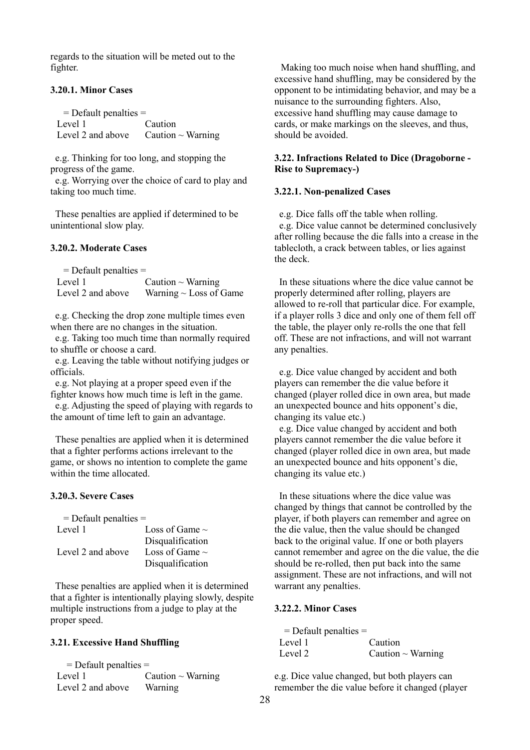regards to the situation will be meted out to the fighter.

### <span id="page-27-0"></span>**3.20.1. Minor Cases**

 = Default penalties = Level 1 Caution Level 2 and above  $\Gamma$  Caution  $\sim$  Warning

e.g. Thinking for too long, and stopping the progress of the game.

e.g. Worrying over the choice of card to play and taking too much time.

These penalties are applied if determined to be unintentional slow play.

# <span id="page-27-1"></span>**3.20.2. Moderate Cases**

| $=$ Default penalties $=$ |                             |
|---------------------------|-----------------------------|
| Level 1                   | Caution $\sim$ Warning      |
| Level 2 and above         | Warning $\sim$ Loss of Game |

e.g. Checking the drop zone multiple times even when there are no changes in the situation.

e.g. Taking too much time than normally required to shuffle or choose a card.

e.g. Leaving the table without notifying judges or officials.

e.g. Not playing at a proper speed even if the fighter knows how much time is left in the game.

e.g. Adjusting the speed of playing with regards to the amount of time left to gain an advantage.

These penalties are applied when it is determined that a fighter performs actions irrelevant to the game, or shows no intention to complete the game within the time allocated.

# <span id="page-27-2"></span>**3.20.3. Severe Cases**

| $=$ Default penalties $=$ |                     |
|---------------------------|---------------------|
| Level 1                   | Loss of Game $\sim$ |
|                           | Disqualification    |
| Level 2 and above         | Loss of Game $\sim$ |
|                           | Disqualification    |

These penalties are applied when it is determined that a fighter is intentionally playing slowly, despite multiple instructions from a judge to play at the proper speed.

### <span id="page-27-3"></span>**3.21. Excessive Hand Shuffling**

| $=$ Default penalties $=$ |                        |
|---------------------------|------------------------|
| Level 1                   | Caution $\sim$ Warning |
| Level 2 and above         | Warning                |

Making too much noise when hand shuffling, and excessive hand shuffling, may be considered by the opponent to be intimidating behavior, and may be a nuisance to the surrounding fighters. Also, excessive hand shuffling may cause damage to cards, or make markings on the sleeves, and thus, should be avoided.

# <span id="page-27-4"></span>**3.22. Infractions Related to Dice (Dragoborne - Rise to Supremacy-)**

#### <span id="page-27-5"></span>**3.22.1. Non-penalized Cases**

e.g. Dice falls off the table when rolling. e.g. Dice value cannot be determined conclusively after rolling because the die falls into a crease in the tablecloth, a crack between tables, or lies against the deck.

In these situations where the dice value cannot be properly determined after rolling, players are allowed to re-roll that particular dice. For example, if a player rolls 3 dice and only one of them fell off the table, the player only re-rolls the one that fell off. These are not infractions, and will not warrant any penalties.

e.g. Dice value changed by accident and both players can remember the die value before it changed (player rolled dice in own area, but made an unexpected bounce and hits opponent's die, changing its value etc.)

e.g. Dice value changed by accident and both players cannot remember the die value before it changed (player rolled dice in own area, but made an unexpected bounce and hits opponent's die, changing its value etc.)

In these situations where the dice value was changed by things that cannot be controlled by the player, if both players can remember and agree on the die value, then the value should be changed back to the original value. If one or both players cannot remember and agree on the die value, the die should be re-rolled, then put back into the same assignment. These are not infractions, and will not warrant any penalties.

# <span id="page-27-6"></span>**3.22.2. Minor Cases**

| $=$ Default penalties $=$ |                        |
|---------------------------|------------------------|
| Level 1                   | Caution                |
| Level 2                   | Caution $\sim$ Warning |

e.g. Dice value changed, but both players can remember the die value before it changed (player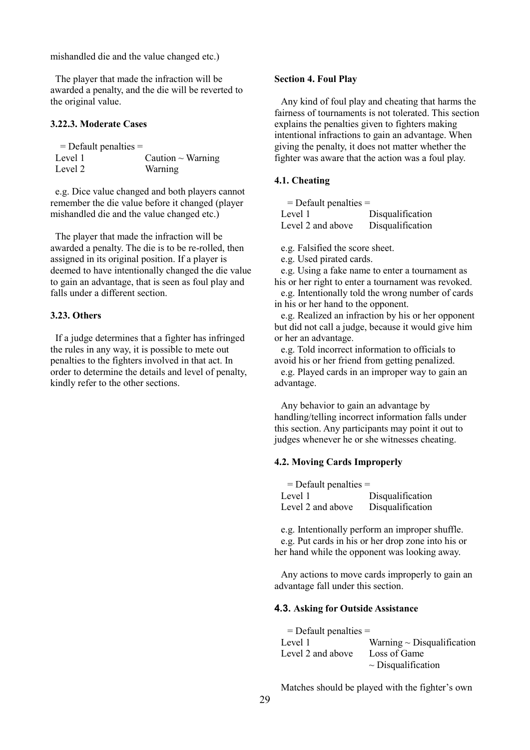mishandled die and the value changed etc.)

The player that made the infraction will be awarded a penalty, and the die will be reverted to the original value.

### <span id="page-28-0"></span>**3.22.3. Moderate Cases**

| $=$ Default penalties $=$ |                        |
|---------------------------|------------------------|
| Level 1                   | Caution $\sim$ Warning |
| Level 2                   | Warning                |

e.g. Dice value changed and both players cannot remember the die value before it changed (player mishandled die and the value changed etc.)

The player that made the infraction will be awarded a penalty. The die is to be re-rolled, then assigned in its original position. If a player is deemed to have intentionally changed the die value to gain an advantage, that is seen as foul play and falls under a different section.

#### <span id="page-28-1"></span>**3.23. Others**

If a judge determines that a fighter has infringed the rules in any way, it is possible to mete out penalties to the fighters involved in that act. In order to determine the details and level of penalty, kindly refer to the other sections.

#### <span id="page-28-2"></span>**Section 4. Foul Play**

Any kind of foul play and cheating that harms the fairness of tournaments is not tolerated. This section explains the penalties given to fighters making intentional infractions to gain an advantage. When giving the penalty, it does not matter whether the fighter was aware that the action was a foul play.

### <span id="page-28-3"></span>**4.1. Cheating**

| $=$ Default penalties $=$ |                  |
|---------------------------|------------------|
| Level 1                   | Disqualification |
| Level 2 and above         | Disqualification |

e.g. Falsified the score sheet.

e.g. Used pirated cards.

e.g. Using a fake name to enter a tournament as his or her right to enter a tournament was revoked.

e.g. Intentionally told the wrong number of cards in his or her hand to the opponent.

e.g. Realized an infraction by his or her opponent but did not call a judge, because it would give him or her an advantage.

e.g. Told incorrect information to officials to avoid his or her friend from getting penalized.

e.g. Played cards in an improper way to gain an advantage.

Any behavior to gain an advantage by handling/telling incorrect information falls under this section. Any participants may point it out to judges whenever he or she witnesses cheating.

### <span id="page-28-4"></span>**4.2. Moving Cards Improperly**

| $=$ Default penalties $=$ |                  |
|---------------------------|------------------|
| Level 1                   | Disqualification |
| Level 2 and above         | Disqualification |

e.g. Intentionally perform an improper shuffle. e.g. Put cards in his or her drop zone into his or her hand while the opponent was looking away.

Any actions to move cards improperly to gain an advantage fall under this section.

#### <span id="page-28-6"></span><span id="page-28-5"></span>**4.3. Asking for Outside Assistance**

| $=$ Default penalties $=$ |                                 |
|---------------------------|---------------------------------|
| Level 1                   | Warning $\sim$ Disqualification |
| Level 2 and above         | Loss of Game                    |
|                           | $\sim$ Disqualification         |

Matches should be played with the fighter's own